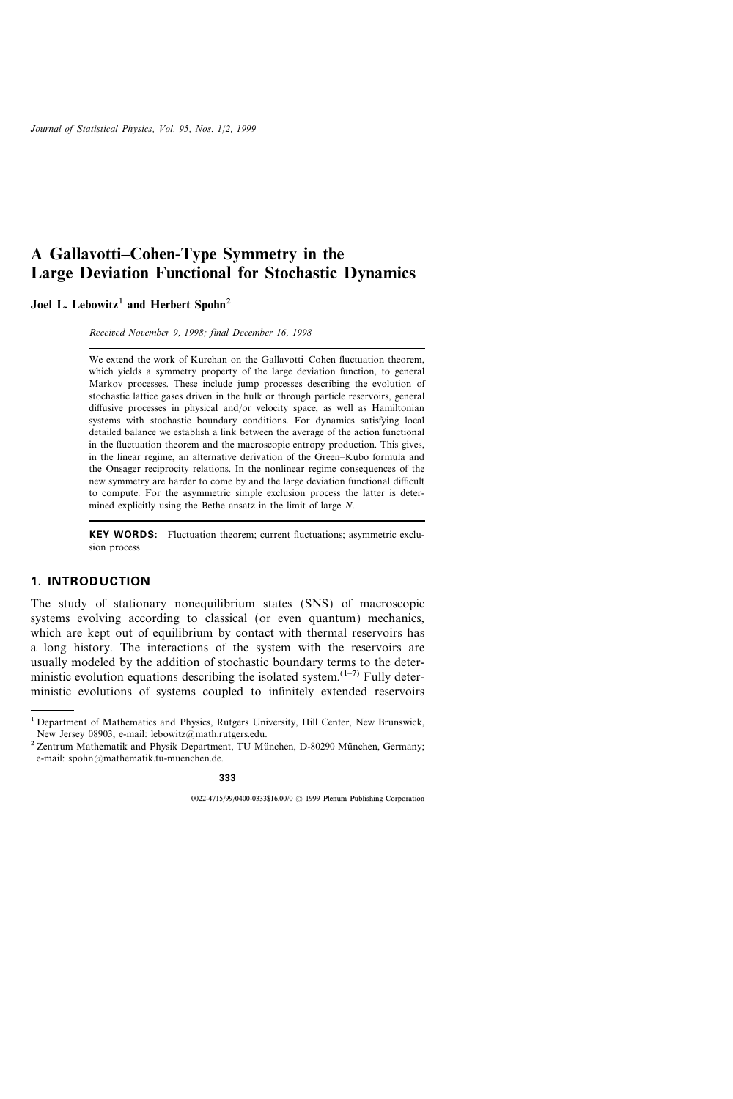# A Gallavotti-Cohen-Type Symmetry in the Large Deviation Functional for Stochastic Dynamics

Joel L. Lebowitz<sup>1</sup> and Herbert Spohn<sup>2</sup>

Received November 9, 1998; final December 16, 1998

We extend the work of Kurchan on the Gallavotti–Cohen fluctuation theorem, which yields a symmetry property of the large deviation function, to general Markov processes. These include jump processes describing the evolution of stochastic lattice gases driven in the bulk or through particle reservoirs, general diffusive processes in physical and/or velocity space, as well as Hamiltonian systems with stochastic boundary conditions. For dynamics satisfying local detailed balance we establish a link between the average of the action functional in the fluctuation theorem and the macroscopic entropy production. This gives, in the linear regime, an alternative derivation of the Green-Kubo formula and the Onsager reciprocity relations. In the nonlinear regime consequences of the new symmetry are harder to come by and the large deviation functional difficult to compute. For the asymmetric simple exclusion process the latter is determined explicitly using the Bethe ansatz in the limit of large N.

KEY WORDS: Fluctuation theorem; current fluctuations; asymmetric exclusion process.

# 1. INTRODUCTION

The study of stationary nonequilibrium states (SNS) of macroscopic systems evolving according to classical (or even quantum) mechanics, which are kept out of equilibrium by contact with thermal reservoirs has a long history. The interactions of the system with the reservoirs are usually modeled by the addition of stochastic boundary terms to the deterministic evolution equations describing the isolated system.<sup> $(1-7)$ </sup> Fully deterministic evolutions of systems coupled to infinitely extended reservoirs

<sup>&</sup>lt;sup>1</sup> Department of Mathematics and Physics, Rutgers University, Hill Center, New Brunswick, New Jersey 08903; e-mail: lebowitz@math.rutgers.edu.

 $2$  Zentrum Mathematik and Physik Department, TU München, D-80290 München, Germany; e-mail: spohn@mathematik.tu-muenchen.de.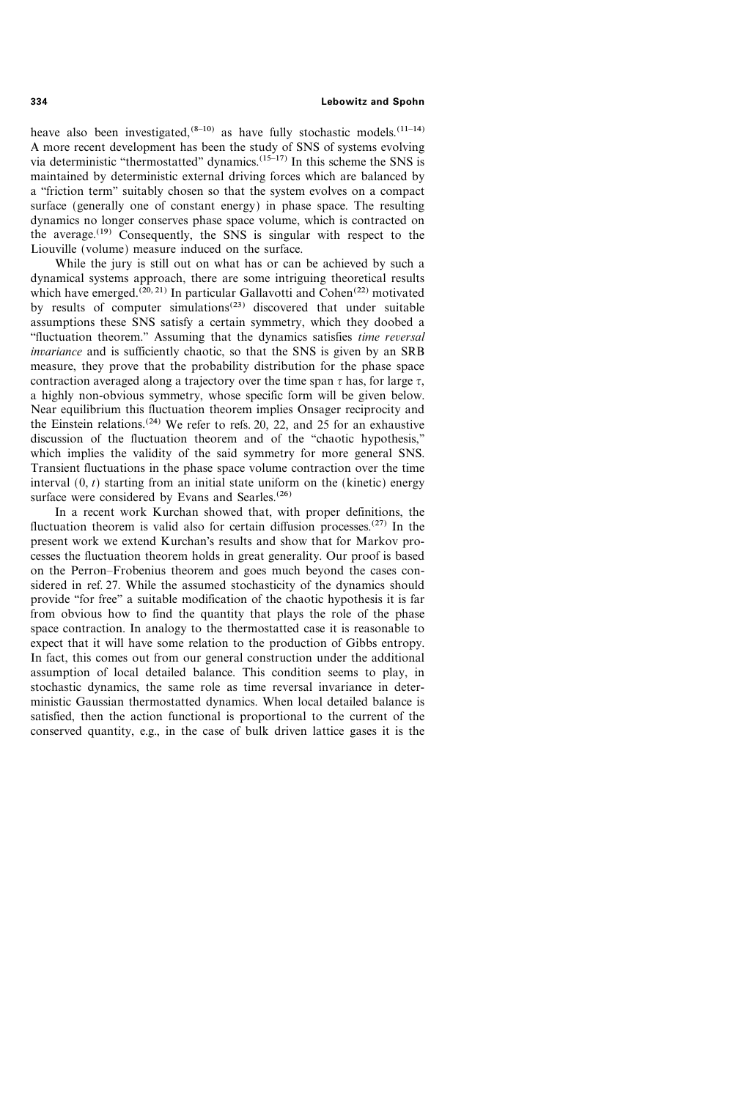334 Lebowitz and Spohn

heave also been investigated,  $(8-10)$  as have fully stochastic models.  $(11-14)$ A more recent development has been the study of SNS of systems evolving via deterministic "thermostatted" dynamics. $(15-17)$  In this scheme the SNS is maintained by deterministic external driving forces which are balanced by a "friction term" suitably chosen so that the system evolves on a compact surface (generally one of constant energy) in phase space. The resulting dynamics no longer conserves phase space volume, which is contracted on the average.(19) Consequently, the SNS is singular with respect to the Liouville (volume) measure induced on the surface.

While the jury is still out on what has or can be achieved by such a dynamical systems approach, there are some intriguing theoretical results which have emerged.<sup>(20, 21)</sup> In particular Gallavotti and Cohen<sup>(22)</sup> motivated by results of computer simulations<sup> $(23)$ </sup> discovered that under suitable assumptions these SNS satisfy a certain symmetry, which they doobed a "fluctuation theorem." Assuming that the dynamics satisfies time reversal invariance and is sufficiently chaotic, so that the SNS is given by an SRB measure, they prove that the probability distribution for the phase space contraction averaged along a trajectory over the time span  $\tau$  has, for large  $\tau$ , a highly non-obvious symmetry, whose specific form will be given below. Near equilibrium this fluctuation theorem implies Onsager reciprocity and the Einstein relations.<sup>(24)</sup> We refer to refs. 20, 22, and 25 for an exhaustive discussion of the fluctuation theorem and of the "chaotic hypothesis," which implies the validity of the said symmetry for more general SNS. Transient fluctuations in the phase space volume contraction over the time interval  $(0, t)$  starting from an initial state uniform on the (kinetic) energy surface were considered by Evans and Searles.<sup>(26)</sup>

In a recent work Kurchan showed that, with proper definitions, the fluctuation theorem is valid also for certain diffusion processes.<sup> $(27)$ </sup> In the present work we extend Kurchan's results and show that for Markov processes the fluctuation theorem holds in great generality. Our proof is based on the Perron-Frobenius theorem and goes much beyond the cases considered in ref. 27. While the assumed stochasticity of the dynamics should provide "for free" a suitable modification of the chaotic hypothesis it is far from obvious how to find the quantity that plays the role of the phase space contraction. In analogy to the thermostatted case it is reasonable to expect that it will have some relation to the production of Gibbs entropy. In fact, this comes out from our general construction under the additional assumption of local detailed balance. This condition seems to play, in stochastic dynamics, the same role as time reversal invariance in deterministic Gaussian thermostatted dynamics. When local detailed balance is satisfied, then the action functional is proportional to the current of the conserved quantity, e.g., in the case of bulk driven lattice gases it is the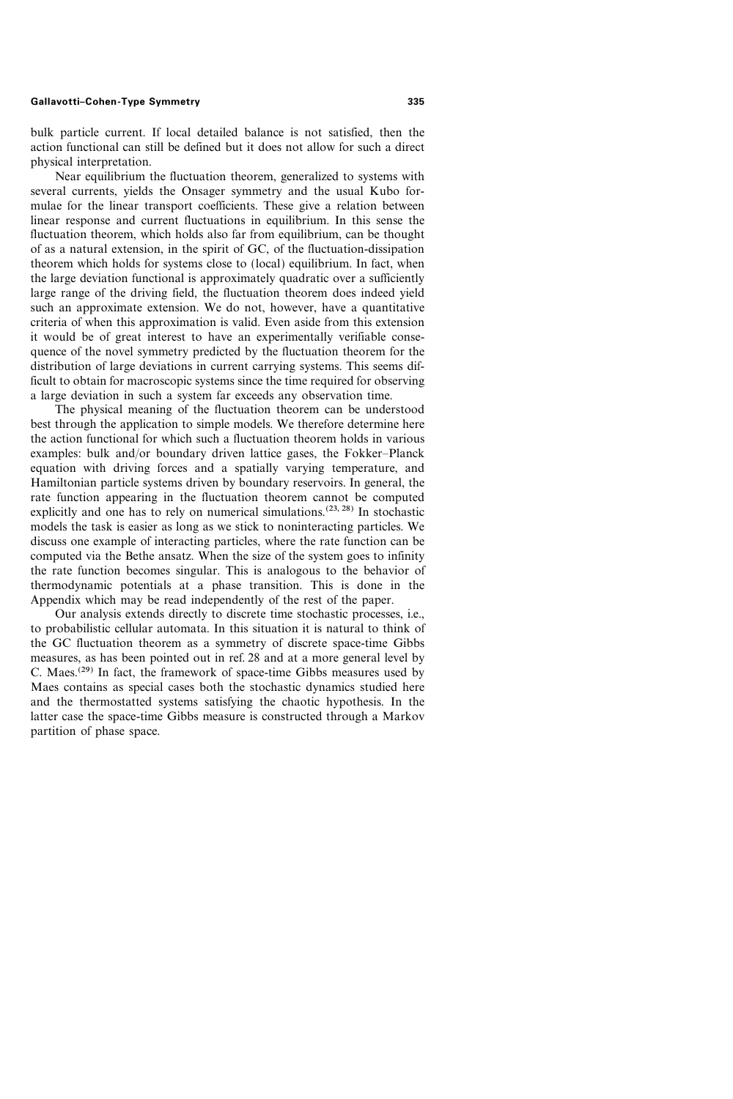### Gallavotti–Cohen-Type Symmetry and the control of the state of the state of the state of the state of the state o

bulk particle current. If local detailed balance is not satisfied, then the action functional can still be defined but it does not allow for such a direct physical interpretation.

Near equilibrium the fluctuation theorem, generalized to systems with several currents, yields the Onsager symmetry and the usual Kubo formulae for the linear transport coefficients. These give a relation between linear response and current fluctuations in equilibrium. In this sense the fluctuation theorem, which holds also far from equilibrium, can be thought of as a natural extension, in the spirit of GC, of the fluctuation-dissipation theorem which holds for systems close to (local) equilibrium. In fact, when the large deviation functional is approximately quadratic over a sufficiently large range of the driving field, the fluctuation theorem does indeed yield such an approximate extension. We do not, however, have a quantitative criteria of when this approximation is valid. Even aside from this extension it would be of great interest to have an experimentally verifiable consequence of the novel symmetry predicted by the fluctuation theorem for the distribution of large deviations in current carrying systems. This seems difficult to obtain for macroscopic systems since the time required for observing a large deviation in such a system far exceeds any observation time.

The physical meaning of the fluctuation theorem can be understood best through the application to simple models. We therefore determine here the action functional for which such a fluctuation theorem holds in various examples: bulk and/or boundary driven lattice gases, the Fokker-Planck equation with driving forces and a spatially varying temperature, and Hamiltonian particle systems driven by boundary reservoirs. In general, the rate function appearing in the fluctuation theorem cannot be computed explicitly and one has to rely on numerical simulations.<sup> $(23, 28)$ </sup> In stochastic models the task is easier as long as we stick to noninteracting particles. We discuss one example of interacting particles, where the rate function can be computed via the Bethe ansatz. When the size of the system goes to infinity the rate function becomes singular. This is analogous to the behavior of thermodynamic potentials at a phase transition. This is done in the Appendix which may be read independently of the rest of the paper.

Our analysis extends directly to discrete time stochastic processes, i.e., to probabilistic cellular automata. In this situation it is natural to think of the GC fluctuation theorem as a symmetry of discrete space-time Gibbs measures, as has been pointed out in ref. 28 and at a more general level by C. Maes.<sup> $(29)$ </sup> In fact, the framework of space-time Gibbs measures used by Maes contains as special cases both the stochastic dynamics studied here and the thermostatted systems satisfying the chaotic hypothesis. In the latter case the space-time Gibbs measure is constructed through a Markov partition of phase space.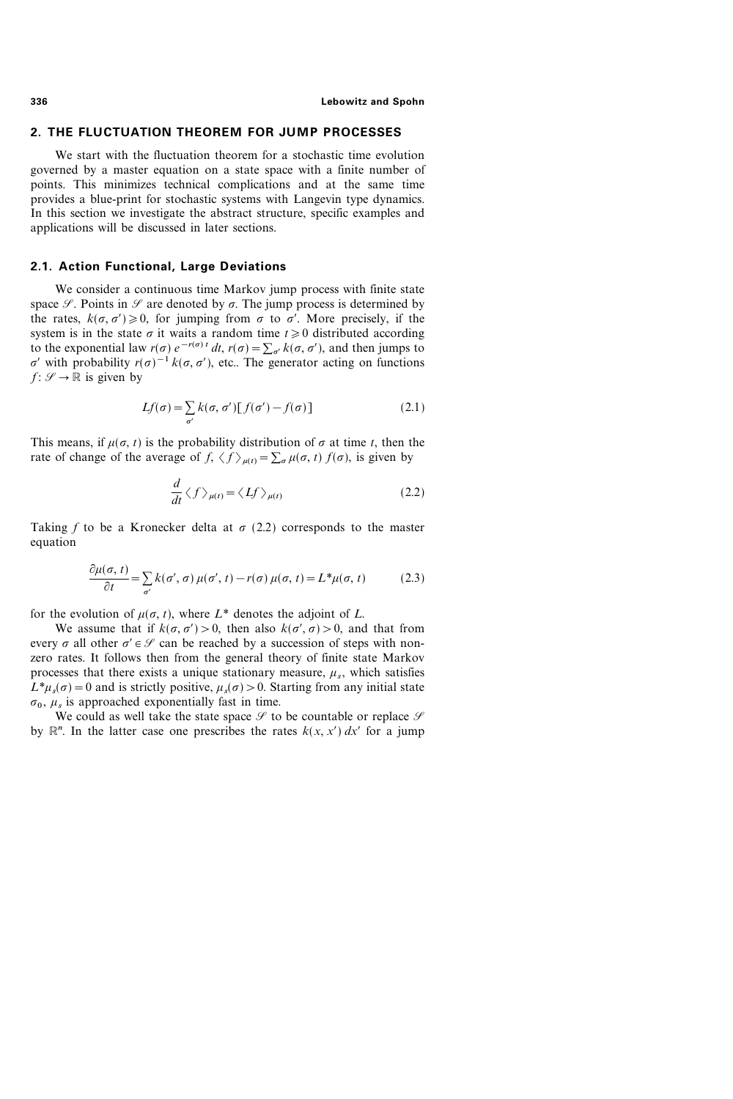# 2. THE FLUCTUATION THEOREM FOR JUMP PROCESSES

We start with the fluctuation theorem for a stochastic time evolution governed by a master equation on a state space with a finite number of points. This minimizes technical complications and at the same time provides a blue-print for stochastic systems with Langevin type dynamics. In this section we investigate the abstract structure, specific examples and applications will be discussed in later sections.

# 2.1. Action Functional, Large Deviations

We consider a continuous time Markov jump process with finite state space  $\mathscr S$ . Points in  $\mathscr S$  are denoted by  $\sigma$ . The jump process is determined by the rates,  $k(\sigma, \sigma') \ge 0$ , for jumping from  $\sigma$  to  $\sigma'$ . More precisely, if the system is in the state  $\sigma$  it waits a random time  $t\geq 0$  distributed according to the exponential law  $r(\sigma) e^{-r(\sigma)t} dt$ ,  $r(\sigma) = \sum_{\sigma'} k(\sigma, \sigma')$ , and then jumps to  $\sigma'$  with probability  $r(\sigma)^{-1} k(\sigma, \sigma')$ , etc.. The generator acting on functions  $f: \mathscr{S} \to \mathbb{R}$  is given by

$$
Lf(\sigma) = \sum_{\sigma'} k(\sigma, \sigma') [f(\sigma') - f(\sigma)] \tag{2.1}
$$

This means, if  $\mu(\sigma, t)$  is the probability distribution of  $\sigma$  at time t, then the rate of change of the average of  $f, \langle f \rangle_{u(t)} = \sum_{\sigma} \mu(\sigma, t) f(\sigma)$ , is given by

$$
\frac{d}{dt}\langle f \rangle_{\mu(t)} = \langle Lf \rangle_{\mu(t)}
$$
\n(2.2)

Taking f to be a Kronecker delta at  $\sigma$  (2.2) corresponds to the master equation

$$
\frac{\partial \mu(\sigma, t)}{\partial t} = \sum_{\sigma'} k(\sigma', \sigma) \mu(\sigma', t) - r(\sigma) \mu(\sigma, t) = L^* \mu(\sigma, t)
$$
 (2.3)

for the evolution of  $\mu(\sigma, t)$ , where  $L^*$  denotes the adjoint of L.

We assume that if  $k(\sigma, \sigma') > 0$ , then also  $k(\sigma', \sigma) > 0$ , and that from every  $\sigma$  all other  $\sigma' \in \mathcal{S}$  can be reached by a succession of steps with nonzero rates. It follows then from the general theory of finite state Markov processes that there exists a unique stationary measure,  $\mu_s$ , which satisfies  $L^*\mu_{\nu}(\sigma)=0$  and is strictly positive,  $\mu_{\nu}(\sigma)>0$ . Starting from any initial state  $\sigma_0$ ,  $\mu_s$  is approached exponentially fast in time.

We could as well take the state space  $\mathscr S$  to be countable or replace  $\mathscr S$ by  $\mathbb{R}^n$ . In the latter case one prescribes the rates  $k(x, x') dx'$  for a jump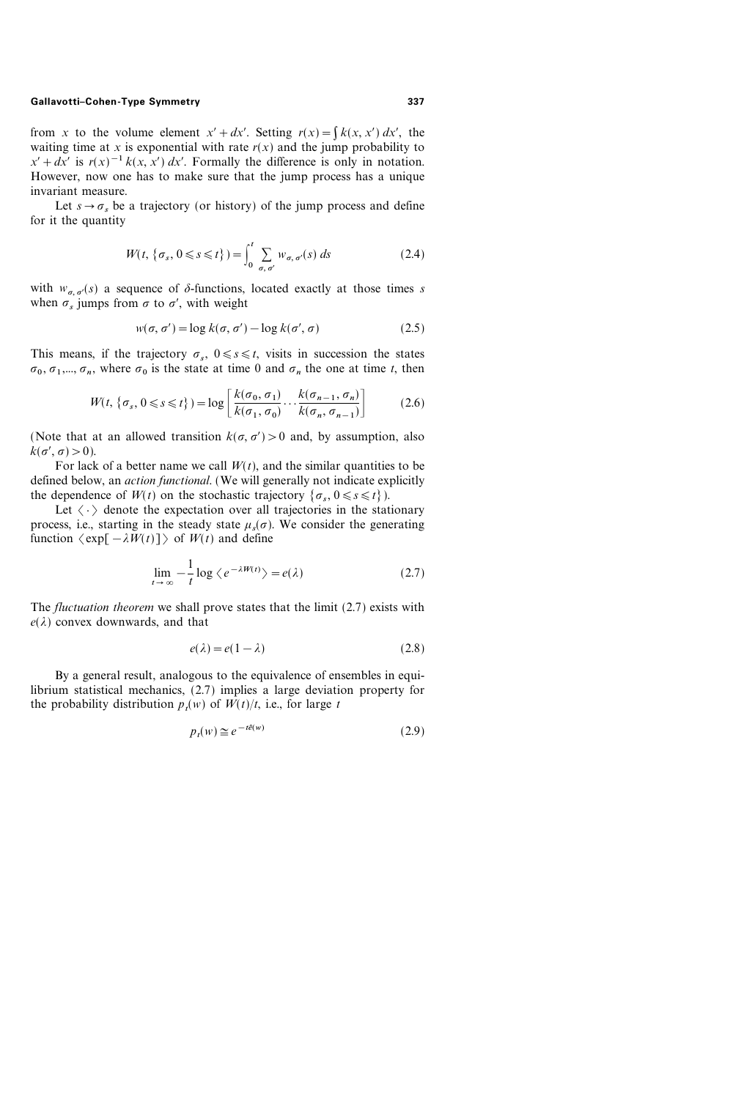from x to the volume element  $x' + dx'$ . Setting  $r(x) = \int k(x, x') dx'$ , the waiting time at x is exponential with rate  $r(x)$  and the jump probability to  $x' + dx'$  is  $r(x)^{-1} k(x, x') dx'$ . Formally the difference is only in notation. However, now one has to make sure that the jump process has a unique invariant measure.

Let  $s \rightarrow \sigma_s$  be a trajectory (or history) of the jump process and define for it the quantity

$$
W(t, \{\sigma_s, 0 \le s \le t\}) = \int_0^t \sum_{\sigma, \sigma'} w_{\sigma, \sigma'}(s) ds \tag{2.4}
$$

with  $w_{\sigma, \sigma}(s)$  a sequence of  $\delta$ -functions, located exactly at those times s when  $\sigma_s$  jumps from  $\sigma$  to  $\sigma'$ , with weight

$$
w(\sigma, \sigma') = \log k(\sigma, \sigma') - \log k(\sigma', \sigma)
$$
\n(2.5)

This means, if the trajectory  $\sigma_s$ ,  $0 \le s \le t$ , visits in succession the states  $\sigma_0$ ,  $\sigma_1$ ,...,  $\sigma_n$ , where  $\sigma_0$  is the state at time 0 and  $\sigma_n$  the one at time t, then

$$
W(t, \{\sigma_s, 0 \le s \le t\}) = \log \left[\frac{k(\sigma_0, \sigma_1)}{k(\sigma_1, \sigma_0)} \cdots \frac{k(\sigma_{n-1}, \sigma_n)}{k(\sigma_n, \sigma_{n-1})}\right]
$$
(2.6)

(Note that at an allowed transition  $k(\sigma, \sigma') > 0$  and, by assumption, also  $k(\sigma', \sigma) > 0$ ).

For lack of a better name we call  $W(t)$ , and the similar quantities to be defined below, an action functional. (We will generally not indicate explicitly the dependence of  $W(t)$  on the stochastic trajectory  $\{\sigma_s, 0 \le s \le t\}$ ).

Let  $\langle \cdot \rangle$  denote the expectation over all trajectories in the stationary process, i.e., starting in the steady state  $\mu_s(\sigma)$ . We consider the generating function  $\langle \exp[-\lambda W(t)] \rangle$  of  $W(t)$  and define

$$
\lim_{t \to \infty} -\frac{1}{t} \log \langle e^{-\lambda W(t)} \rangle = e(\lambda)
$$
 (2.7)

The *fluctuation theorem* we shall prove states that the limit (2.7) exists with  $e(\lambda)$  convex downwards, and that

$$
e(\lambda) = e(1 - \lambda) \tag{2.8}
$$

By a general result, analogous to the equivalence of ensembles in equilibrium statistical mechanics, (2.7) implies a large deviation property for the probability distribution  $p_t(w)$  of  $W(t)/t$ , i.e., for large t

$$
p_t(w) \cong e^{-t\hat{e}(w)}\tag{2.9}
$$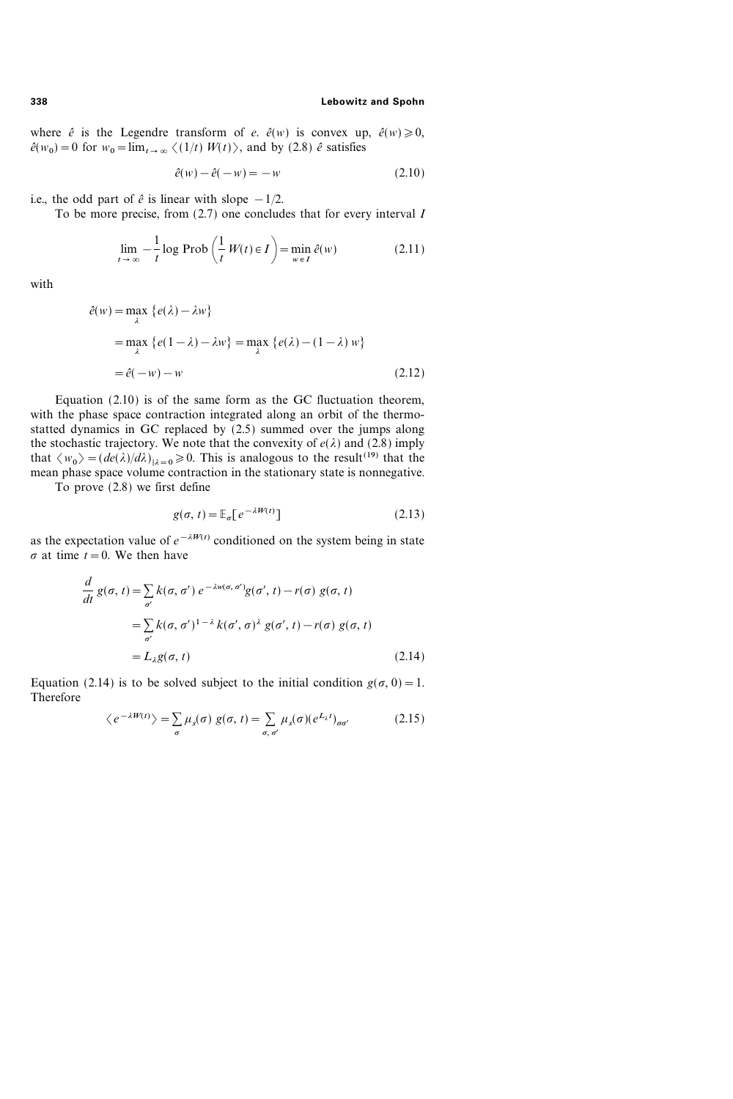where  $\hat{e}$  is the Legendre transform of e.  $\hat{e}(w)$  is convex up,  $\hat{e}(w)\geq0$ ,  $\hat{e}(w_0)=0$  for  $w_0=\lim_{t\to\infty}\langle (1/t) W(t)\rangle$ , and by (2.8)  $\hat{e}$  satisfies

$$
\hat{e}(w) - \hat{e}(-w) = -w \tag{2.10}
$$

i.e., the odd part of  $\hat{e}$  is linear with slope  $-1/2$ .

To be more precise, from  $(2.7)$  one concludes that for every interval I

$$
\lim_{t \to \infty} -\frac{1}{t} \log \text{Prob}\left(\frac{1}{t} W(t) \in I\right) = \min_{w \in I} \hat{e}(w) \tag{2.11}
$$

with

$$
\begin{aligned} \hat{e}(w) &= \max_{\lambda} \left\{ e(\lambda) - \lambda w \right\} \\ &= \max_{\lambda} \left\{ e(1 - \lambda) - \lambda w \right\} = \max_{\lambda} \left\{ e(\lambda) - (1 - \lambda) w \right\} \\ &= \hat{e}(-w) - w \end{aligned} \tag{2.12}
$$

Equation (2.10) is of the same form as the GC fluctuation theorem, with the phase space contraction integrated along an orbit of the thermostatted dynamics in GC replaced by (2.5) summed over the jumps along the stochastic trajectory. We note that the convexity of  $e(\lambda)$  and (2.8) imply that  $\langle w_0 \rangle = (de(\lambda)/d\lambda)_{|\lambda|=0} \ge 0$ . This is analogous to the result<sup>(19)</sup> that the mean phase space volume contraction in the stationary state is nonnegative.

To prove (2.8) we first define

$$
g(\sigma, t) = \mathbb{E}_{\sigma} \left[ e^{-\lambda W(t)} \right] \tag{2.13}
$$

as the expectation value of  $e^{-\lambda W(t)}$  conditioned on the system being in state  $\sigma$  at time  $t=0$ . We then have

$$
\frac{d}{dt} g(\sigma, t) = \sum_{\sigma'} k(\sigma, \sigma') e^{-\lambda w(\sigma, \sigma')} g(\sigma', t) - r(\sigma) g(\sigma, t)
$$

$$
= \sum_{\sigma'} k(\sigma, \sigma')^{1-\lambda} k(\sigma', \sigma)^{\lambda} g(\sigma', t) - r(\sigma) g(\sigma, t)
$$

$$
= L_{\lambda} g(\sigma, t) \tag{2.14}
$$

Equation (2.14) is to be solved subject to the initial condition  $g(\sigma, 0)=1$ . Therefore

$$
\langle e^{-\lambda W(t)} \rangle = \sum_{\sigma} \mu_s(\sigma) \ g(\sigma, t) = \sum_{\sigma, \sigma'} \mu_s(\sigma) (e^{L_\lambda t})_{\sigma \sigma'} \tag{2.15}
$$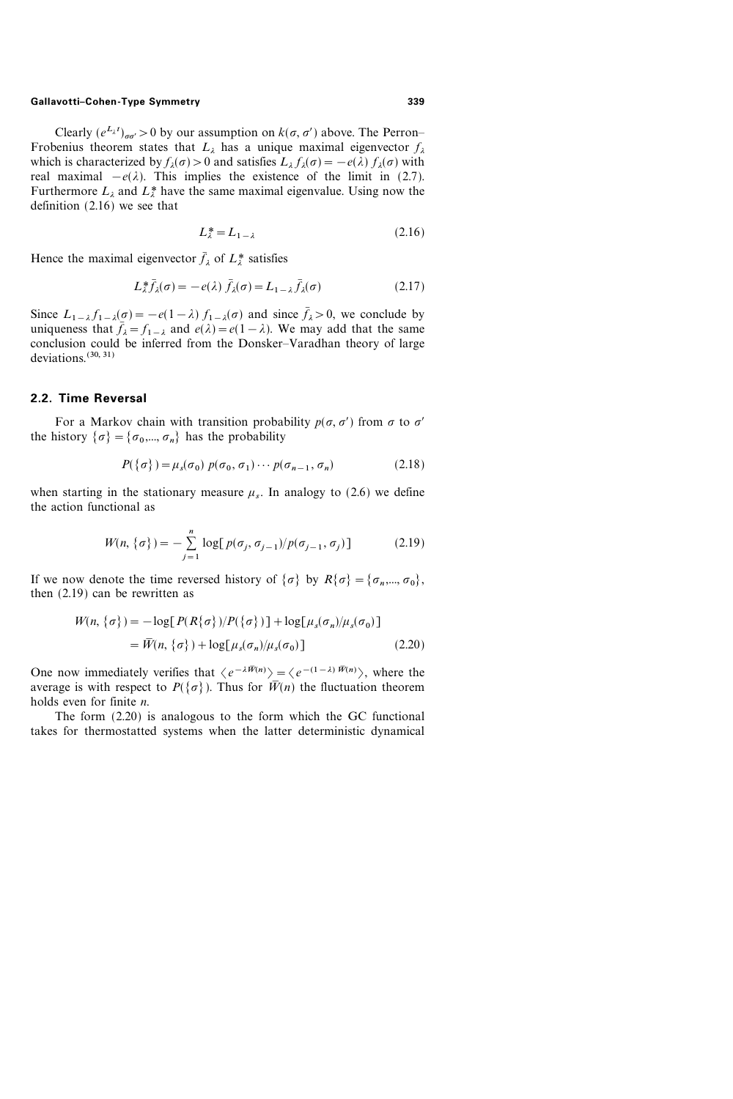Clearly  $(e^{L_\lambda t})_{\sigma\sigma'} > 0$  by our assumption on  $k(\sigma, \sigma')$  above. The Perron-Frobenius theorem states that  $L<sub>2</sub>$  has a unique maximal eigenvector  $f<sub>2</sub>$ which is characterized by  $f_\lambda(\sigma)>0$  and satisfies  $L_\lambda f_\lambda(\sigma)=-e(\lambda) f_\lambda(\sigma)$  with real maximal  $-e(\lambda)$ . This implies the existence of the limit in (2.7). Furthermore  $L_{\lambda}$  and  $L_{\lambda}^{*}$  have the same maximal eigenvalue. Using now the definition (2.16) we see that

$$
L_{\lambda}^* = L_{1-\lambda} \tag{2.16}
$$

Hence the maximal eigenvector  $\bar{f}_{\lambda}$  of  $L_{\lambda}^{*}$  satisfies

$$
L_{\lambda}^{*}\bar{f}_{\lambda}(\sigma) = -e(\lambda)\bar{f}_{\lambda}(\sigma) = L_{1-\lambda}\bar{f}_{\lambda}(\sigma)
$$
\n(2.17)

Since  $L_{1-\lambda} f_{1-\lambda}(\sigma) = -e(1-\lambda) f_{1-\lambda}(\sigma)$  and since  $f_{\lambda} > 0$ , we conclude by uniqueness that  $f_{\lambda} = f_{1-\lambda}$  and  $e(\lambda) = e(1-\lambda)$ . We may add that the same conclusion could be inferred from the Donsker-Varadhan theory of large deviations.(30, 31)

### 2.2. Time Reversal

For a Markov chain with transition probability  $p(\sigma, \sigma')$  from  $\sigma$  to  $\sigma'$ the history  $\{\sigma\}=\{\sigma_0,...,\sigma_n\}$  has the probability

$$
P(\{\sigma\}) = \mu_s(\sigma_0) \ p(\sigma_0, \sigma_1) \cdots p(\sigma_{n-1}, \sigma_n)
$$
 (2.18)

when starting in the stationary measure  $\mu_s$ . In analogy to (2.6) we define the action functional as

$$
W(n, {\sigma}) = -\sum_{j=1}^{n} \log[p(\sigma_j, \sigma_{j-1})/p(\sigma_{j-1}, \sigma_j)] \qquad (2.19)
$$

If we now denote the time reversed history of  $\{\sigma\}$  by  $R\{\sigma\}=\{\sigma_n,..., \sigma_0\}$ , then (2.19) can be rewritten as

$$
W(n, \{\sigma\}) = -\log[P(R\{\sigma\})/P(\{\sigma\})] + \log[\mu_s(\sigma_n)/\mu_s(\sigma_0)]
$$
  
=  $\bar{W}(n, \{\sigma\}) + \log[\mu_s(\sigma_n)/\mu_s(\sigma_0)]$  (2.20)

One now immediately verifies that  $\langle e^{-\lambda \bar{W}(n)} \rangle = \langle e^{-(1-\lambda)\bar{W}(n)} \rangle$ , where the average is with respect to  $P({\{\sigma\}})$ . Thus for  $\overline{W}(n)$  the fluctuation theorem holds even for finite n.

The form (2.20) is analogous to the form which the GC functional takes for thermostatted systems when the latter deterministic dynamical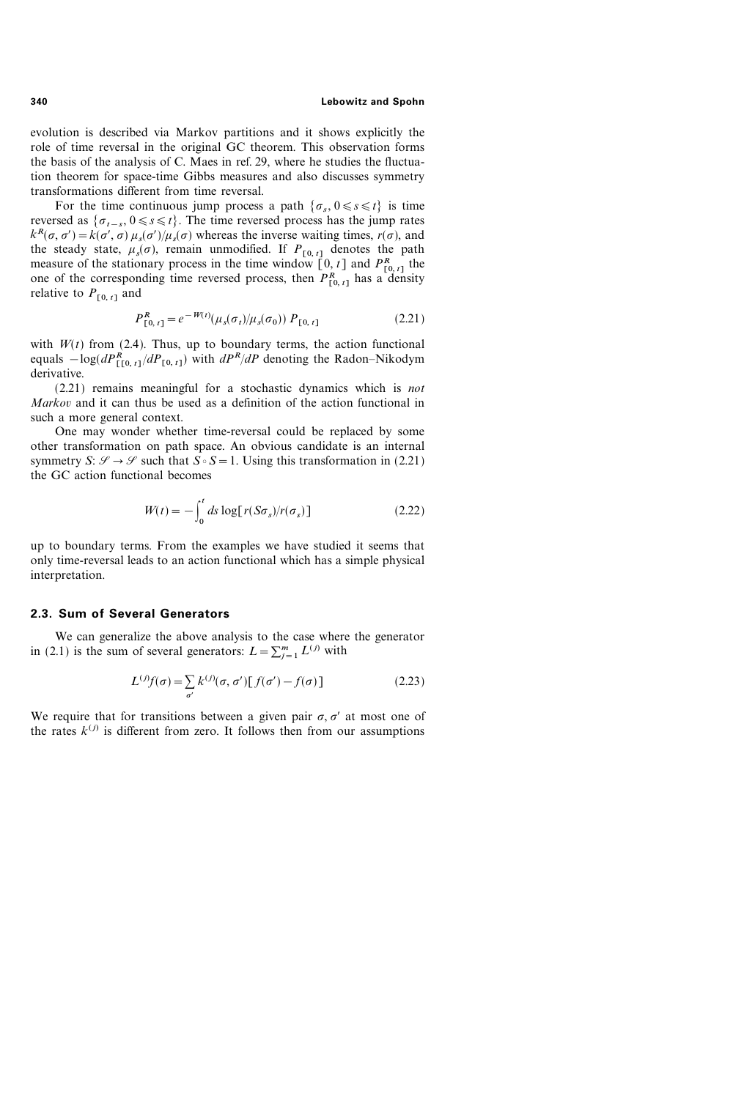340 Lebowitz and Spohn

evolution is described via Markov partitions and it shows explicitly the role of time reversal in the original GC theorem. This observation forms the basis of the analysis of C. Maes in ref. 29, where he studies the fluctuation theorem for space-time Gibbs measures and also discusses symmetry transformations different from time reversal.

For the time continuous jump process a path  $\{\sigma_s, 0 \le s \le t\}$  is time reversed as  $\{\sigma_{t-s}, 0 \leq s \leq t\}$ . The time reversed process has the jump rates  $k^R(\sigma, \sigma')=k(\sigma', \sigma) \mu_s(\sigma') / \mu_s(\sigma)$  whereas the inverse waiting times,  $r(\sigma)$ , and the steady state,  $\mu_s(\sigma)$ , remain unmodified. If  $P_{[0, t]}$  denotes the path measure of the stationary process in the time window  $\left[0, t\right]$  and  $P_{\left[0, t\right]}^{R}$  the one of the corresponding time reversed process, then  $P_{[0, t]}^R$  has a density relative to  $P_{[0, t]}$  and

$$
P_{[0, t]}^{R} = e^{-W(t)}(\mu_s(\sigma_t)/\mu_s(\sigma_0)) P_{[0, t]}
$$
 (2.21)

with  $W(t)$  from (2.4). Thus, up to boundary terms, the action functional equals  $-\log(dP_{[0, t]}^R/dP_{[0, t]})$  with  $dP^R/dP$  denoting the Radon-Nikodym derivative.

(2.21) remains meaningful for a stochastic dynamics which is not Markov and it can thus be used as a definition of the action functional in such a more general context.

One may wonder whether time-reversal could be replaced by some other transformation on path space. An obvious candidate is an internal symmetry S:  $\mathcal{S} \rightarrow \mathcal{S}$  such that  $S \circ S = 1$ . Using this transformation in (2.21) the GC action functional becomes

$$
W(t) = -\int_0^t ds \log[r(S\sigma_s)/r(\sigma_s)] \tag{2.22}
$$

up to boundary terms. From the examples we have studied it seems that only time-reversal leads to an action functional which has a simple physical interpretation.

# 2.3. Sum of Several Generators

We can generalize the above analysis to the case where the generator in (2.1) is the sum of several generators:  $L = \sum_{j=1}^{m} L^{(j)}$  with

$$
L^{(j)}f(\sigma) = \sum_{\sigma'} k^{(j)}(\sigma, \sigma') [f(\sigma') - f(\sigma)] \tag{2.23}
$$

We require that for transitions between a given pair  $\sigma$ ,  $\sigma'$  at most one of the rates  $k^{(j)}$  is different from zero. It follows then from our assumptions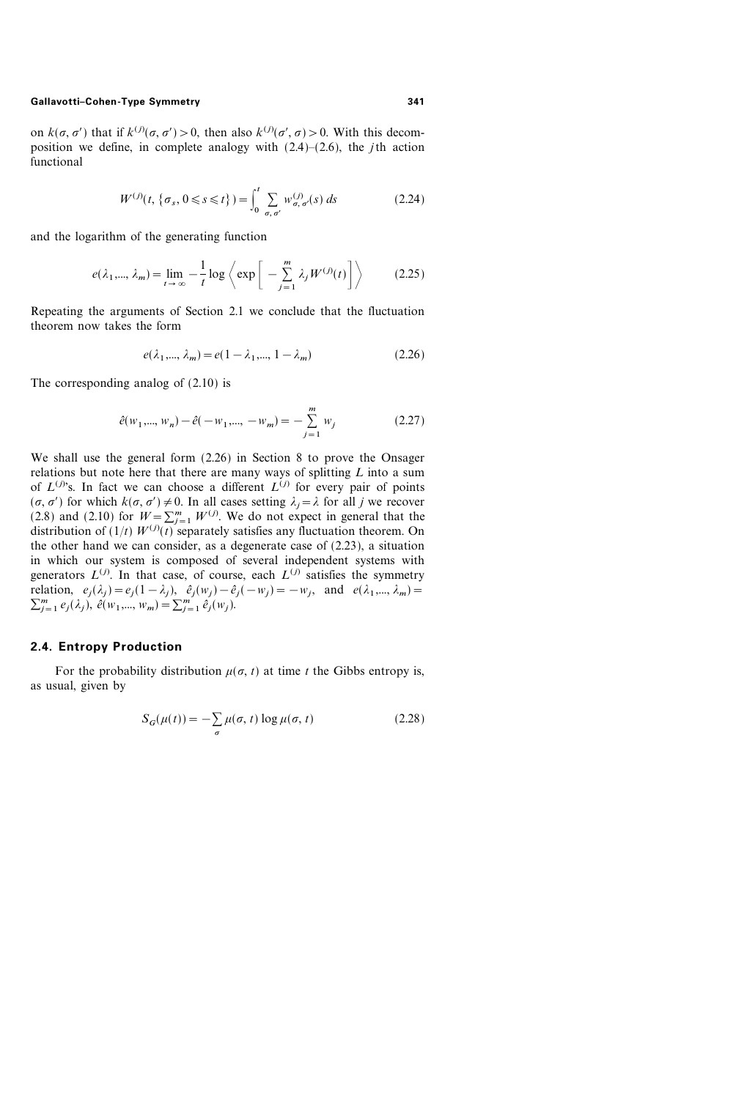on  $k(\sigma, \sigma')$  that if  $k^{(j)}(\sigma, \sigma') > 0$ , then also  $k^{(j)}(\sigma', \sigma) > 0$ . With this decomposition we define, in complete analogy with  $(2.4)-(2.6)$ , the *j*th action functional

$$
W^{(j)}(t, \{\sigma_s, 0 \le s \le t\}) = \int_0^t \sum_{\sigma, \sigma'} W^{(j)}_{\sigma, \sigma'}(s) ds \qquad (2.24)
$$

and the logarithm of the generating function

$$
e(\lambda_1, \dots, \lambda_m) = \lim_{t \to \infty} -\frac{1}{t} \log \left\langle \exp \left[ -\sum_{j=1}^m \lambda_j W^{(j)}(t) \right] \right\rangle \tag{2.25}
$$

Repeating the arguments of Section 2.1 we conclude that the fluctuation theorem now takes the form

$$
e(\lambda_1, ..., \lambda_m) = e(1 - \lambda_1, ..., 1 - \lambda_m)
$$
 (2.26)

The corresponding analog of (2.10) is

$$
\hat{e}(w_1, ..., w_n) - \hat{e}(-w_1, ..., -w_m) = -\sum_{j=1}^{m} w_j \tag{2.27}
$$

We shall use the general form (2.26) in Section 8 to prove the Onsager relations but note here that there are many ways of splitting  $L$  into a sum of  $L^{(j)}$ 's. In fact we can choose a different  $L^{(j)}$  for every pair of points  $(\sigma, \sigma')$  for which  $k(\sigma, \sigma') \neq 0$ . In all cases setting  $\lambda_i = \lambda$  for all j we recover (2.8) and (2.10) for  $W = \sum_{j=1}^{m} W^{(j)}$ . We do not expect in general that the distribution of  $(1/t)$   $W^{(j)}(t)$  separately satisfies any fluctuation theorem. On the other hand we can consider, as a degenerate case of (2.23), a situation in which our system is composed of several independent systems with generators  $L^{(j)}$ . In that case, of course, each  $L^{(j)}$  satisfies the symmetry relation,  $e_j(\lambda_j)=e_j(1-\lambda_j)$ ,  $\hat{e}_j(w_j)-\hat{e}_j(-w_j)=-w_j$ , and  $e(\lambda_1, ..., \lambda_m)=$  $\sum_{j=1}^{m} e_j(\lambda_j)$ ,  $\hat{e}(w_1,..., w_m) = \sum_{j=1}^{m} \hat{e}_j(w_j)$ .

# 2.4. Entropy Production

For the probability distribution  $\mu(\sigma, t)$  at time t the Gibbs entropy is, as usual, given by

$$
S_G(\mu(t)) = -\sum_{\sigma} \mu(\sigma, t) \log \mu(\sigma, t)
$$
 (2.28)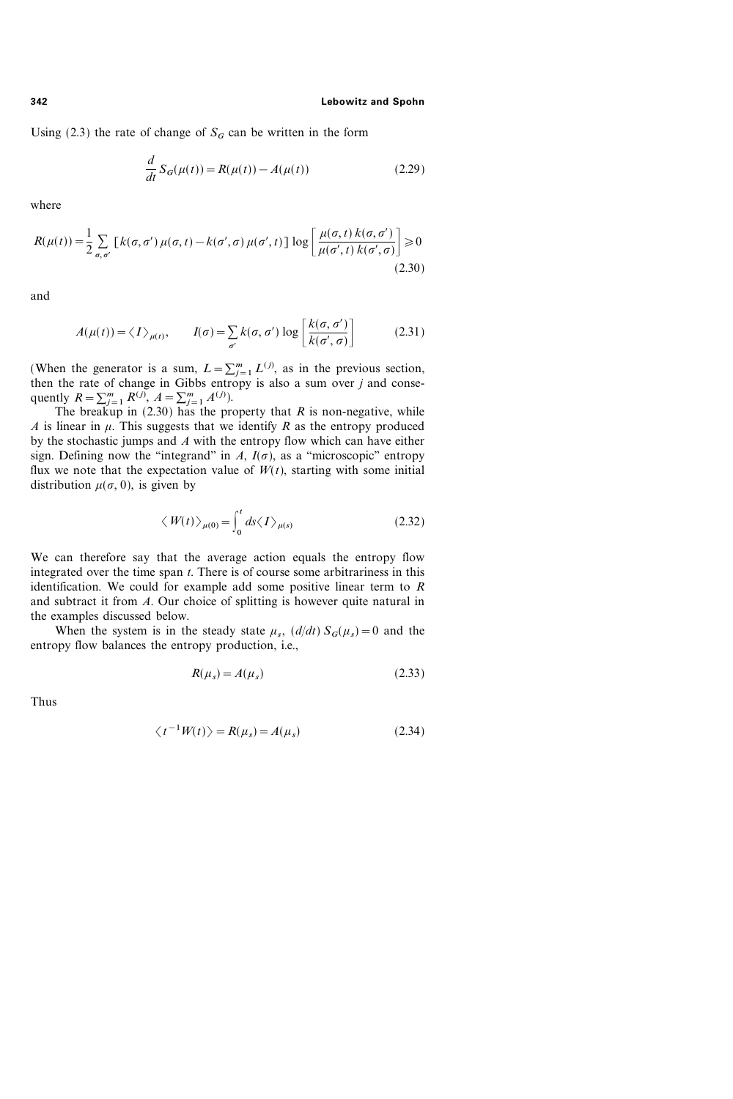### 342 Lebowitz and Spohn

Using (2.3) the rate of change of  $S_G$  can be written in the form

$$
\frac{d}{dt}S_G(\mu(t)) = R(\mu(t)) - A(\mu(t))
$$
\n(2.29)

where

$$
R(\mu(t)) = \frac{1}{2} \sum_{\sigma,\sigma'} \left[ k(\sigma,\sigma') \mu(\sigma,t) - k(\sigma',\sigma) \mu(\sigma',t) \right] \log \left[ \frac{\mu(\sigma,t) k(\sigma,\sigma')}{\mu(\sigma',t) k(\sigma',\sigma)} \right] \ge 0
$$
\n(2.30)

and

$$
A(\mu(t)) = \langle I \rangle_{\mu(t)}, \qquad I(\sigma) = \sum_{\sigma'} k(\sigma, \sigma') \log \left[ \frac{k(\sigma, \sigma')}{k(\sigma', \sigma)} \right] \tag{2.31}
$$

(When the generator is a sum,  $L = \sum_{j=1}^{m} L^{(j)}$ , as in the previous section, then the rate of change in Gibbs entropy is also a sum over  $j$  and consequently  $R = \sum_{j=1}^{m} R^{(j)}$ ,  $A = \sum_{j=1}^{m} A^{(j)}$ .

The breakup in  $(2.30)$  has the property that R is non-negative, while A is linear in  $\mu$ . This suggests that we identify R as the entropy produced by the stochastic jumps and  $A$  with the entropy flow which can have either sign. Defining now the "integrand" in A,  $I(\sigma)$ , as a "microscopic" entropy flux we note that the expectation value of  $W(t)$ , starting with some initial distribution  $\mu(\sigma, 0)$ , is given by

$$
\langle W(t) \rangle_{\mu(0)} = \int_0^t ds \langle I \rangle_{\mu(s)}
$$
\n(2.32)

We can therefore say that the average action equals the entropy flow integrated over the time span t. There is of course some arbitrariness in this identification. We could for example add some positive linear term to R and subtract it from A. Our choice of splitting is however quite natural in the examples discussed below.

When the system is in the steady state  $\mu_s$ ,  $(d/dt) S_G(\mu_s)=0$  and the entropy flow balances the entropy production, i.e.,

$$
R(\mu_s) = A(\mu_s) \tag{2.33}
$$

Thus

$$
\langle t^{-1}W(t)\rangle = R(\mu_s) = A(\mu_s) \tag{2.34}
$$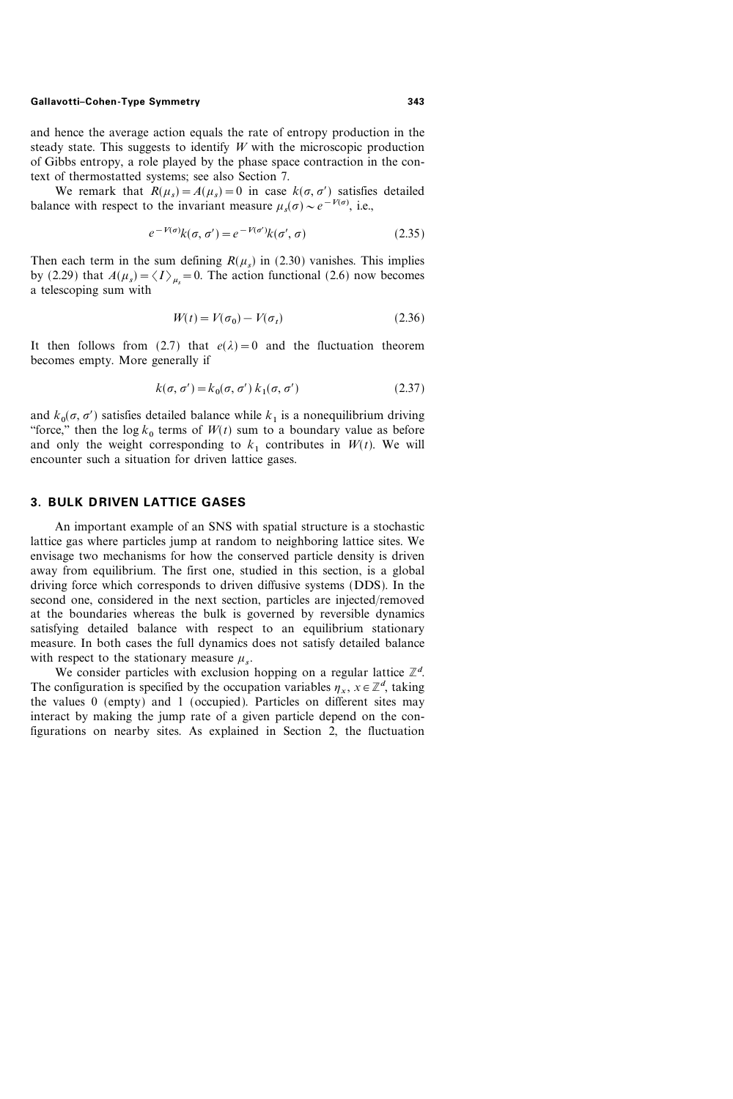### Gallavotti-Cohen-Type Symmetry and the control of the state of the state of the state of the state of the state o

and hence the average action equals the rate of entropy production in the steady state. This suggests to identify  $W$  with the microscopic production of Gibbs entropy, a role played by the phase space contraction in the context of thermostatted systems; see also Section 7.

We remark that  $R(\mu_s)=A(\mu_s)=0$  in case  $k(\sigma, \sigma')$  satisfies detailed balance with respect to the invariant measure  $\mu_s(\sigma) \sim e^{-V(\sigma)}$ , i.e.,

$$
e^{-V(\sigma)}k(\sigma,\sigma') = e^{-V(\sigma')}k(\sigma',\sigma)
$$
\n(2.35)

Then each term in the sum defining  $R(\mu_s)$  in (2.30) vanishes. This implies by (2.29) that  $A(\mu_s) = \langle I \rangle_{\mu_s} = 0$ . The action functional (2.6) now becomes a telescoping sum with

$$
W(t) = V(\sigma_0) - V(\sigma_t)
$$
\n(2.36)

It then follows from (2.7) that  $e(\lambda) = 0$  and the fluctuation theorem becomes empty. More generally if

$$
k(\sigma, \sigma') = k_0(\sigma, \sigma') k_1(\sigma, \sigma')
$$
\n(2.37)

and  $k_0(\sigma, \sigma')$  satisfies detailed balance while  $k_1$  is a nonequilibrium driving "force," then the  $\log k_0$  terms of  $W(t)$  sum to a boundary value as before and only the weight corresponding to  $k_1$  contributes in  $W(t)$ . We will encounter such a situation for driven lattice gases.

# 3. BULK DRIVEN LATTICE GASES

An important example of an SNS with spatial structure is a stochastic lattice gas where particles jump at random to neighboring lattice sites. We envisage two mechanisms for how the conserved particle density is driven away from equilibrium. The first one, studied in this section, is a global driving force which corresponds to driven diffusive systems (DDS). In the second one, considered in the next section, particles are injected/removed at the boundaries whereas the bulk is governed by reversible dynamics satisfying detailed balance with respect to an equilibrium stationary measure. In both cases the full dynamics does not satisfy detailed balance with respect to the stationary measure  $\mu_s$ .

We consider particles with exclusion hopping on a regular lattice  $\mathbb{Z}^d$ . The configuration is specified by the occupation variables  $\eta_x$ ,  $x \in \mathbb{Z}^d$ , taking the values 0 (empty) and 1 (occupied). Particles on different sites may interact by making the jump rate of a given particle depend on the configurations on nearby sites. As explained in Section 2, the fluctuation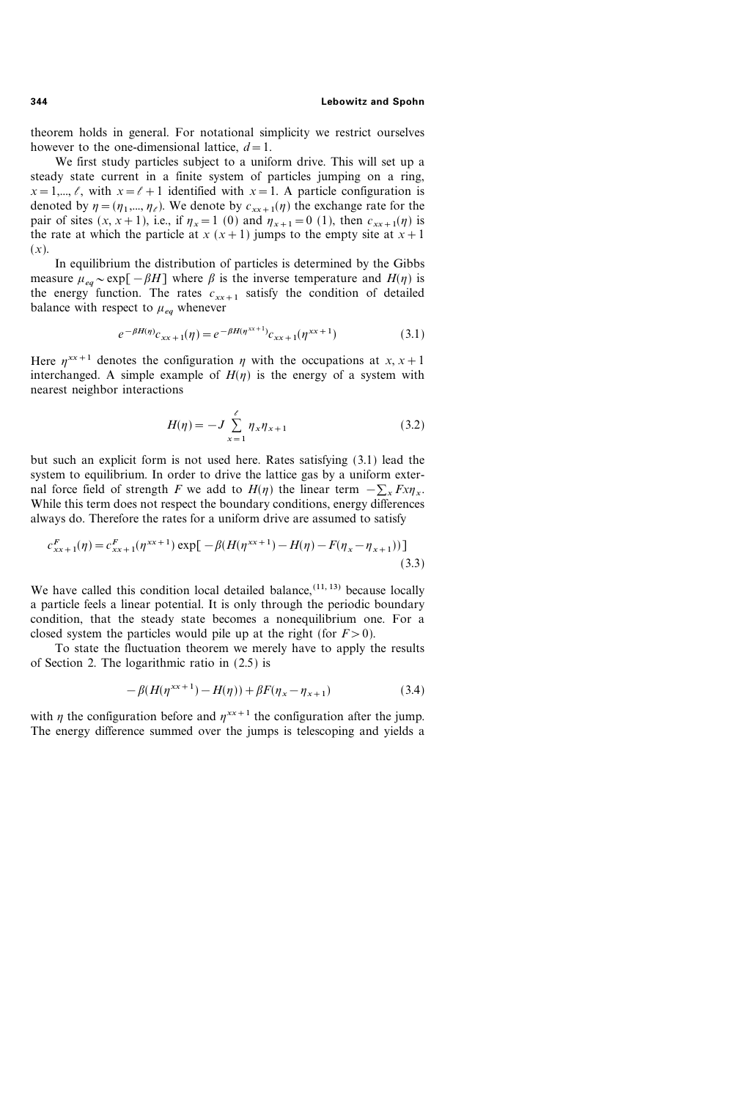theorem holds in general. For notational simplicity we restrict ourselves however to the one-dimensional lattice,  $d=1$ .

We first study particles subject to a uniform drive. This will set up a steady state current in a finite system of particles jumping on a ring,  $x=1,..., \ell$ , with  $x=\ell+1$  identified with  $x=1$ . A particle configuration is denoted by  $\eta = (\eta_1, ..., \eta_\ell)$ . We denote by  $c_{xx+1}(\eta)$  the exchange rate for the pair of sites  $(x, x + 1)$ , i.e., if  $\eta_x = 1$  (0) and  $\eta_{x+1} = 0$  (1), then  $c_{xx+1}(\eta)$  is the rate at which the particle at  $x(x+1)$  jumps to the empty site at  $x+1$  $(x).$ 

In equilibrium the distribution of particles is determined by the Gibbs measure  $\mu_{ea} \sim \exp[-\beta H]$  where  $\beta$  is the inverse temperature and  $H(\eta)$  is the energy function. The rates  $c_{xx+1}$  satisfy the condition of detailed balance with respect to  $\mu_{ea}$  whenever

$$
e^{-\beta H(\eta)}c_{xx+1}(\eta) = e^{-\beta H(\eta^{xx+1})}c_{xx+1}(\eta^{xx+1})
$$
\n(3.1)

Here  $\eta^{xx+1}$  denotes the configuration  $\eta$  with the occupations at  $x, x+1$ interchanged. A simple example of  $H(\eta)$  is the energy of a system with nearest neighbor interactions

$$
H(\eta) = -J \sum_{x=1}^{\ell} \eta_x \eta_{x+1}
$$
 (3.2)

but such an explicit form is not used here. Rates satisfying (3.1) lead the system to equilibrium. In order to drive the lattice gas by a uniform external force field of strength F we add to  $H(\eta)$  the linear term  $-\sum_{x} Fx\eta_{x}$ . While this term does not respect the boundary conditions, energy differences always do. Therefore the rates for a uniform drive are assumed to satisfy

$$
c_{xx+1}^F(\eta) = c_{xx+1}^F(\eta^{xx+1}) \exp[-\beta(H(\eta^{xx+1}) - H(\eta) - F(\eta_x - \eta_{x+1}))]
$$
\n(3.3)

We have called this condition local detailed balance,  $(11, 13)$  because locally a particle feels a linear potential. It is only through the periodic boundary condition, that the steady state becomes a nonequilibrium one. For a closed system the particles would pile up at the right (for  $F>0$ ).

To state the fluctuation theorem we merely have to apply the results of Section 2. The logarithmic ratio in (2.5) is

$$
- \beta (H(\eta^{xx+1}) - H(\eta)) + \beta F(\eta_x - \eta_{x+1})
$$
\n(3.4)

with  $\eta$  the configuration before and  $\eta^{xx+1}$  the configuration after the jump. The energy difference summed over the jumps is telescoping and yields a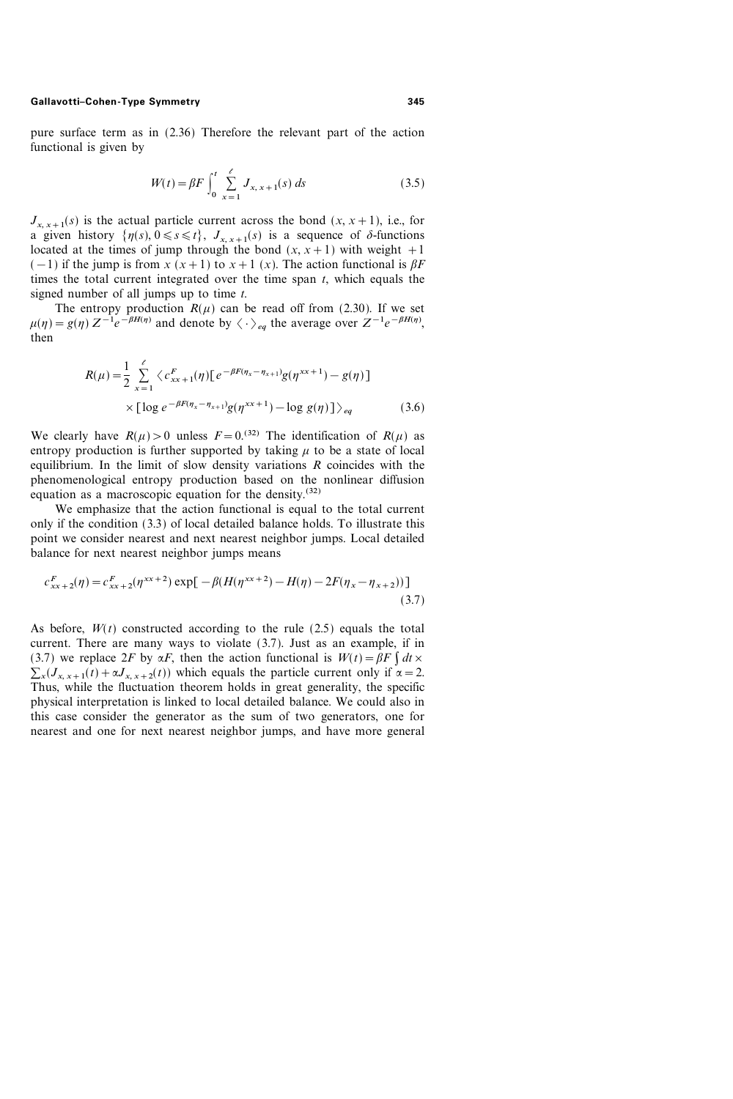pure surface term as in (2.36) Therefore the relevant part of the action functional is given by

$$
W(t) = \beta F \int_0^t \sum_{x=1}^{\ell} J_{x, x+1}(s) ds
$$
 (3.5)

 $J_{x, x+1}(s)$  is the actual particle current across the bond  $(x, x+1)$ , i.e., for a given history  $\{\eta(s), 0 \le s \le t\}, J_{x, x+1}(s)$  is a sequence of  $\delta$ -functions located at the times of jump through the bond  $(x, x+1)$  with weight  $+1$  $(-1)$  if the jump is from x  $(x+1)$  to  $x+1$   $(x)$ . The action functional is  $\beta F$ times the total current integrated over the time span  $t$ , which equals the signed number of all jumps up to time t.

The entropy production  $R(\mu)$  can be read off from (2.30). If we set  $\mu(\eta) = g(\eta) Z^{-1} e^{-\beta H(\eta)}$  and denote by  $\langle \cdot \rangle_{eq}$  the average over  $Z^{-1}e^{-\beta H(\eta)}$ , then

$$
R(\mu) = \frac{1}{2} \sum_{x=1}^{\ell} \langle c_{xx+1}^{F}(\eta) [ e^{-\beta F(\eta_x - \eta_{x+1})} g(\eta^{xx+1}) - g(\eta) ]
$$
  
 
$$
\times [ \log e^{-\beta F(\eta_x - \eta_{x+1})} g(\eta^{xx+1}) - \log g(\eta) ] \rangle_{eq}
$$
(3.6)

We clearly have  $R(\mu) > 0$  unless  $F = 0^{(32)}$  The identification of  $R(\mu)$  as entropy production is further supported by taking  $\mu$  to be a state of local equilibrium. In the limit of slow density variations  $R$  coincides with the phenomenological entropy production based on the nonlinear diffusion equation as a macroscopic equation for the density. $(32)$ 

We emphasize that the action functional is equal to the total current only if the condition (3.3) of local detailed balance holds. To illustrate this point we consider nearest and next nearest neighbor jumps. Local detailed balance for next nearest neighbor jumps means

$$
c_{xx+2}^F(\eta) = c_{xx+2}^F(\eta^{xx+2}) \exp[-\beta(H(\eta^{xx+2}) - H(\eta) - 2F(\eta_x - \eta_{x+2}))]
$$
\n(3.7)

As before,  $W(t)$  constructed according to the rule (2.5) equals the total current. There are many ways to violate (3.7). Just as an example, if in (3.7) we replace 2F by  $\alpha F$ , then the action functional is  $W(t) = \beta F \int dt \times$  $\sum_{x}(J_{x,x+1}(t)+\alpha J_{x,x+2}(t))$  which equals the particle current only if  $\alpha=2$ . Thus, while the fluctuation theorem holds in great generality, the specific physical interpretation is linked to local detailed balance. We could also in this case consider the generator as the sum of two generators, one for nearest and one for next nearest neighbor jumps, and have more general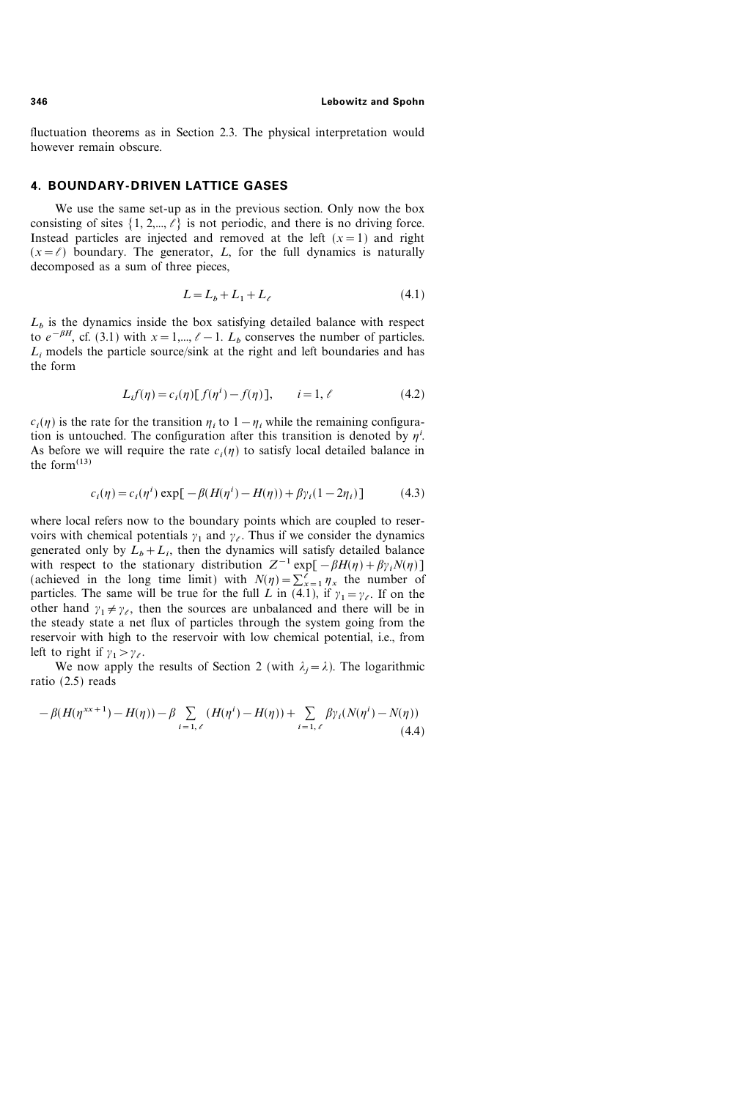fluctuation theorems as in Section 2.3. The physical interpretation would however remain obscure.

# 4. BOUNDARY-DRIVEN LATTICE GASES

We use the same set-up as in the previous section. Only now the box consisting of sites  $\{1, 2, \ldots, \ell\}$  is not periodic, and there is no driving force. Instead particles are injected and removed at the left  $(x=1)$  and right  $(x = \ell)$  boundary. The generator, L, for the full dynamics is naturally decomposed as a sum of three pieces,

$$
L = L_b + L_1 + L_\ell \tag{4.1}
$$

 $L<sub>b</sub>$  is the dynamics inside the box satisfying detailed balance with respect to  $e^{-\beta H}$ , cf. (3.1) with  $x=1,\dots, \ell-1$ .  $L_b$  conserves the number of particles.  $L_i$  models the particle source/sink at the right and left boundaries and has the form

$$
L_i f(\eta) = c_i(\eta) [f(\eta^i) - f(\eta)], \qquad i = 1, \ell
$$
 (4.2)

 $c_i(\eta)$  is the rate for the transition  $\eta_i$  to  $1-\eta_i$  while the remaining configuration is untouched. The configuration after this transition is denoted by  $\eta^i$ . As before we will require the rate  $c_i(\eta)$  to satisfy local detailed balance in the form $^{(13)}$ 

$$
c_i(\eta) = c_i(\eta^i) \exp[-\beta(H(\eta^i) - H(\eta)) + \beta \gamma_i (1 - 2\eta_i)]
$$
 (4.3)

where local refers now to the boundary points which are coupled to reservoirs with chemical potentials  $\gamma_1$  and  $\gamma_2$ . Thus if we consider the dynamics generated only by  $L_b + L_i$ , then the dynamics will satisfy detailed balance with respect to the stationary distribution  $Z^{-1}$  exp[ $-\beta H(\eta)+\beta y_iN(\eta)$ ] (achieved in the long time limit) with  $N(\eta) = \sum_{x=1}^{\ell} \eta_x$  the number of particles. The same will be true for the full L in (4.1), if  $\gamma_1 = \gamma_{\ell}$ . If on the other hand  $\gamma_1 \neq \gamma_2$ , then the sources are unbalanced and there will be in the steady state a net flux of particles through the system going from the reservoir with high to the reservoir with low chemical potential, i.e., from left to right if  $\gamma_1 > \gamma_{\ell}$ .

We now apply the results of Section 2 (with  $\lambda_i = \lambda$ ). The logarithmic ratio (2.5) reads

$$
-\beta(H(\eta^{xx+1}) - H(\eta)) - \beta \sum_{i=1,\ell} (H(\eta^i) - H(\eta)) + \sum_{i=1,\ell} \beta \gamma_i (N(\eta^i) - N(\eta))
$$
\n(4.4)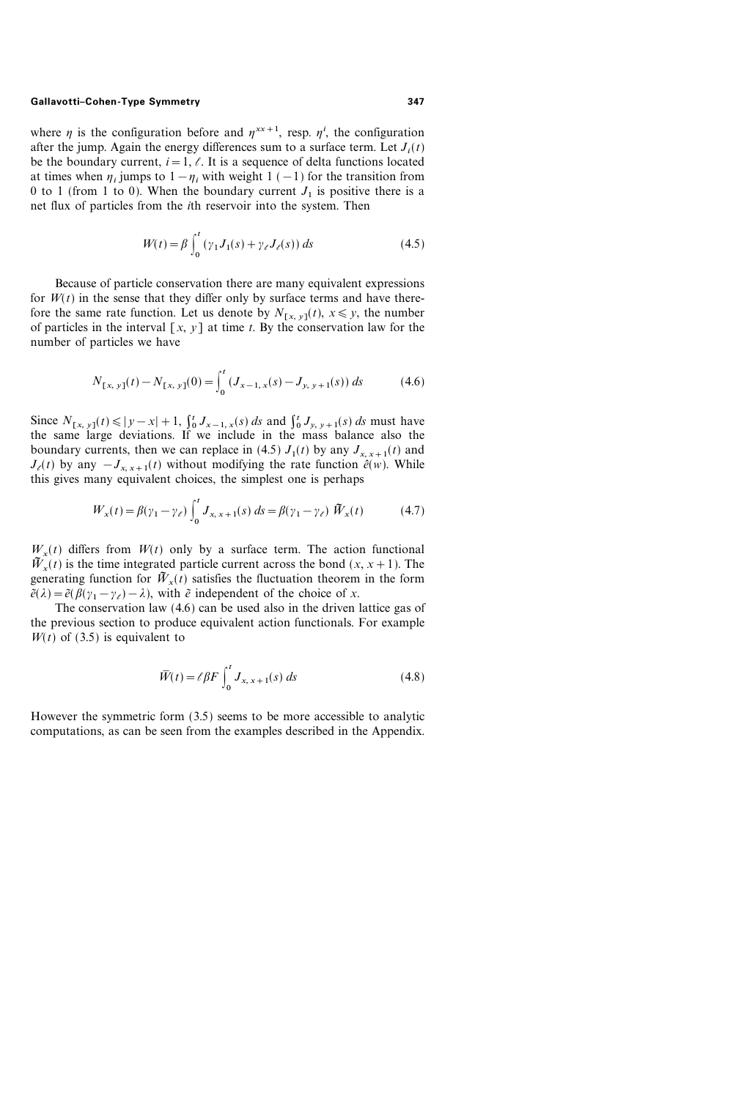where  $\eta$  is the configuration before and  $\eta^{xx+1}$ , resp.  $\eta^i$ , the configuration after the jump. Again the energy differences sum to a surface term. Let  $J_i(t)$ be the boundary current,  $i=1, \ell$ . It is a sequence of delta functions located at times when  $\eta_i$  jumps to  $1 - \eta_i$  with weight 1 (-1) for the transition from 0 to 1 (from 1 to 0). When the boundary current  $J_1$  is positive there is a net flux of particles from the ith reservoir into the system. Then

$$
W(t) = \beta \int_0^t (\gamma_1 J_1(s) + \gamma_\ell J_\ell(s)) ds
$$
\n(4.5)

Because of particle conservation there are many equivalent expressions for  $W(t)$  in the sense that they differ only by surface terms and have therefore the same rate function. Let us denote by  $N_{[x, y]}(t)$ ,  $x \le y$ , the number of particles in the interval  $[x, y]$  at time t. By the conservation law for the number of particles we have

$$
N_{[x, y]}(t) - N_{[x, y]}(0) = \int_0^t (J_{x-1, x}(s) - J_{y, y+1}(s)) ds
$$
 (4.6)

Since  $N_{[x, y]}(t) \le |y - x| + 1$ ,  $\int_0^t J_{x-1, x}(s) ds$  and  $\int_0^t J_{y, y+1}(s) ds$  must have the same large deviations. If we include in the mass balance also the boundary currents, then we can replace in (4.5)  $J_1(t)$  by any  $J_{x,x+1}(t)$  and  $J_{\ell}(t)$  by any  $-J_{x,x+1}(t)$  without modifying the rate function  $\hat{e}(w)$ . While this gives many equivalent choices, the simplest one is perhaps

$$
W_x(t) = \beta(\gamma_1 - \gamma_\ell) \int_0^t J_{x, x+1}(s) ds = \beta(\gamma_1 - \gamma_\ell) \widetilde{W}_x(t)
$$
 (4.7)

 $W<sub>x</sub>(t)$  differs from  $W(t)$  only by a surface term. The action functional  $\widetilde{W}_x(t)$  is the time integrated particle current across the bond  $(x, x+1)$ . The generating function for  $\tilde{W}_x(t)$  satisfies the fluctuation theorem in the form  $\tilde{e}(\lambda) = \tilde{e}(\beta(\gamma_1 - \gamma_2) - \lambda)$ , with  $\tilde{e}$  independent of the choice of x.

The conservation law (4.6) can be used also in the driven lattice gas of the previous section to produce equivalent action functionals. For example  $W(t)$  of (3.5) is equivalent to

$$
\overline{W}(t) = \ell \beta F \int_0^t J_{x, x+1}(s) ds \qquad (4.8)
$$

However the symmetric form (3.5) seems to be more accessible to analytic computations, as can be seen from the examples described in the Appendix.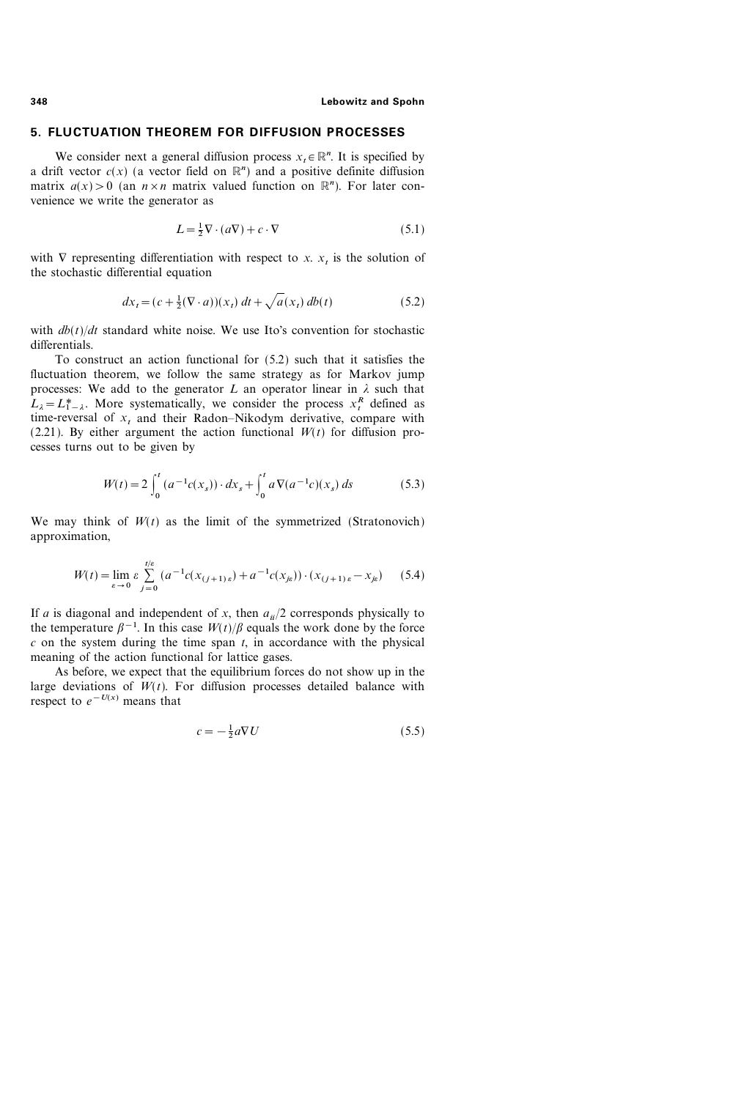# 5. FLUCTUATION THEOREM FOR DIFFUSION PROCESSES

We consider next a general diffusion process  $x_t \in \mathbb{R}^n$ . It is specified by a drift vector  $c(x)$  (a vector field on  $\mathbb{R}^n$ ) and a positive definite diffusion matrix  $a(x) > 0$  (an  $n \times n$  matrix valued function on  $\mathbb{R}^n$ ). For later convenience we write the generator as

$$
L = \frac{1}{2}\nabla \cdot (a\nabla) + c \cdot \nabla \tag{5.1}
$$

with  $\nabla$  representing differentiation with respect to x.  $x_t$  is the solution of the stochastic differential equation

$$
dx_t = (c + \frac{1}{2}(\nabla \cdot a))(x_t) dt + \sqrt{a}(x_t) db(t)
$$
\n(5.2)

with  $db(t)/dt$  standard white noise. We use Ito's convention for stochastic differentials.

To construct an action functional for (5.2) such that it satisfies the fluctuation theorem, we follow the same strategy as for Markov jump processes: We add to the generator L an operator linear in  $\lambda$  such that  $L_{\lambda} = L_{1-\lambda}^{*}$ . More systematically, we consider the process  $x_t^R$  defined as time-reversal of  $x_t$ , and their Radon-Nikodym derivative, compare with (2.21). By either argument the action functional  $W(t)$  for diffusion processes turns out to be given by

$$
W(t) = 2 \int_0^t (a^{-1}c(x_s)) \cdot dx_s + \int_0^t a \nabla (a^{-1}c)(x_s) ds \tag{5.3}
$$

We may think of  $W(t)$  as the limit of the symmetrized (Stratonovich) approximation,

$$
W(t) = \lim_{\varepsilon \to 0} \varepsilon \sum_{j=0}^{t/\varepsilon} (a^{-1}c(x_{(j+1)\varepsilon}) + a^{-1}c(x_{j\varepsilon})) \cdot (x_{(j+1)\varepsilon} - x_{j\varepsilon}) \tag{5.4}
$$

If a is diagonal and independent of x, then  $a_{ii}/2$  corresponds physically to the temperature  $\beta^{-1}$ . In this case  $W(t)/\beta$  equals the work done by the force  $c$  on the system during the time span  $t$ , in accordance with the physical meaning of the action functional for lattice gases.

As before, we expect that the equilibrium forces do not show up in the large deviations of  $W(t)$ . For diffusion processes detailed balance with respect to  $e^{-U(x)}$  means that

$$
c = -\frac{1}{2}a\nabla U\tag{5.5}
$$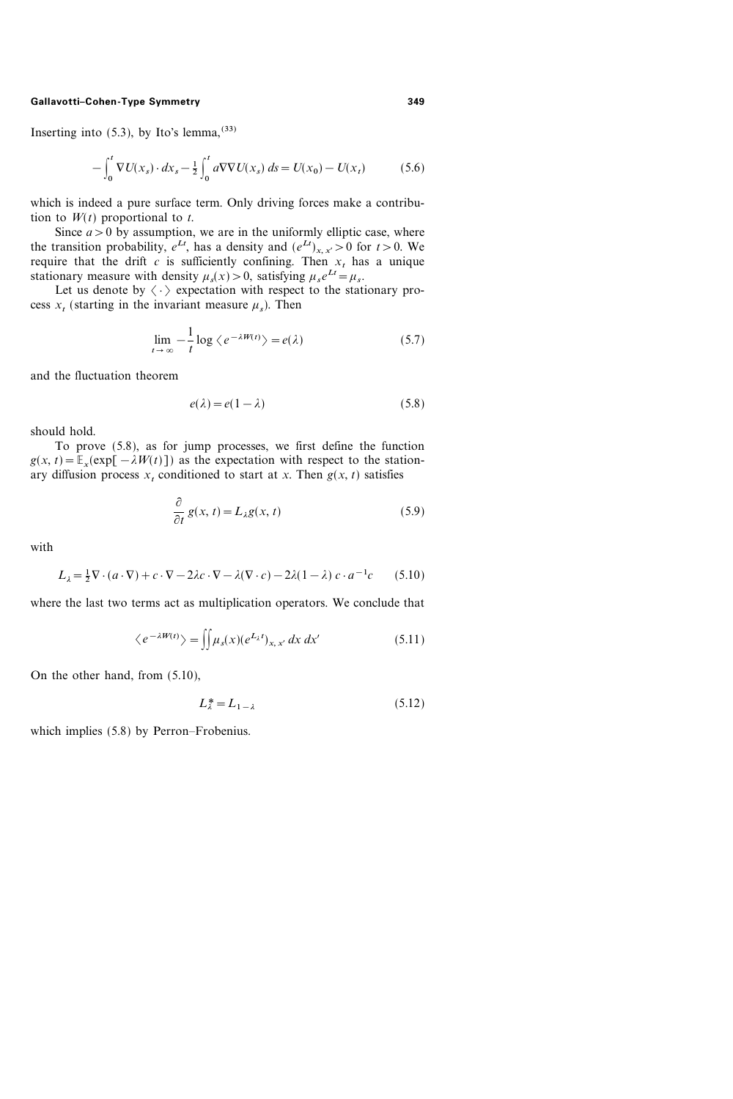Inserting into  $(5.3)$ , by Ito's lemma,  $(33)$ 

$$
-\int_0^t \nabla U(x_s) \cdot dx_s - \frac{1}{2} \int_0^t a \nabla \nabla U(x_s) \, ds = U(x_0) - U(x_t) \tag{5.6}
$$

which is indeed a pure surface term. Only driving forces make a contribution to  $W(t)$  proportional to t.

Since  $a > 0$  by assumption, we are in the uniformly elliptic case, where the transition probability,  $e^{Lt}$ , has a density and  $(e^{Lt})_{x,x'} > 0$  for  $t > 0$ . We require that the drift c is sufficiently confining. Then  $x_t$  has a unique stationary measure with density  $\mu_s(x) > 0$ , satisfying  $\mu_s e^{Lt} = \mu_s$ .

Let us denote by  $\langle \cdot \rangle$  expectation with respect to the stationary process  $x_t$  (starting in the invariant measure  $\mu_s$ ). Then

$$
\lim_{t \to \infty} -\frac{1}{t} \log \langle e^{-\lambda W(t)} \rangle = e(\lambda)
$$
\n(5.7)

and the fluctuation theorem

$$
e(\lambda) = e(1 - \lambda) \tag{5.8}
$$

should hold.

To prove (5.8), as for jump processes, we first define the function  $g(x, t) = \mathbb{E}_x(\exp[-\lambda W(t)])$  as the expectation with respect to the stationary diffusion process  $x_t$ , conditioned to start at x. Then  $g(x, t)$  satisfies

$$
\frac{\partial}{\partial t} g(x, t) = L_{\lambda} g(x, t)
$$
\n(5.9)

with

$$
L_{\lambda} = \frac{1}{2} \nabla \cdot (a \cdot \nabla) + c \cdot \nabla - 2\lambda c \cdot \nabla - \lambda (\nabla \cdot c) - 2\lambda (1 - \lambda) c \cdot a^{-1} c \tag{5.10}
$$

where the last two terms act as multiplication operators. We conclude that

$$
\langle e^{-\lambda W(t)} \rangle = \iint \mu_s(x) (e^{L_\lambda t})_{x, x'} dx dx'
$$
 (5.11)

On the other hand, from (5.10),

$$
L_{\lambda}^* = L_{1-\lambda} \tag{5.12}
$$

which implies  $(5.8)$  by Perron-Frobenius.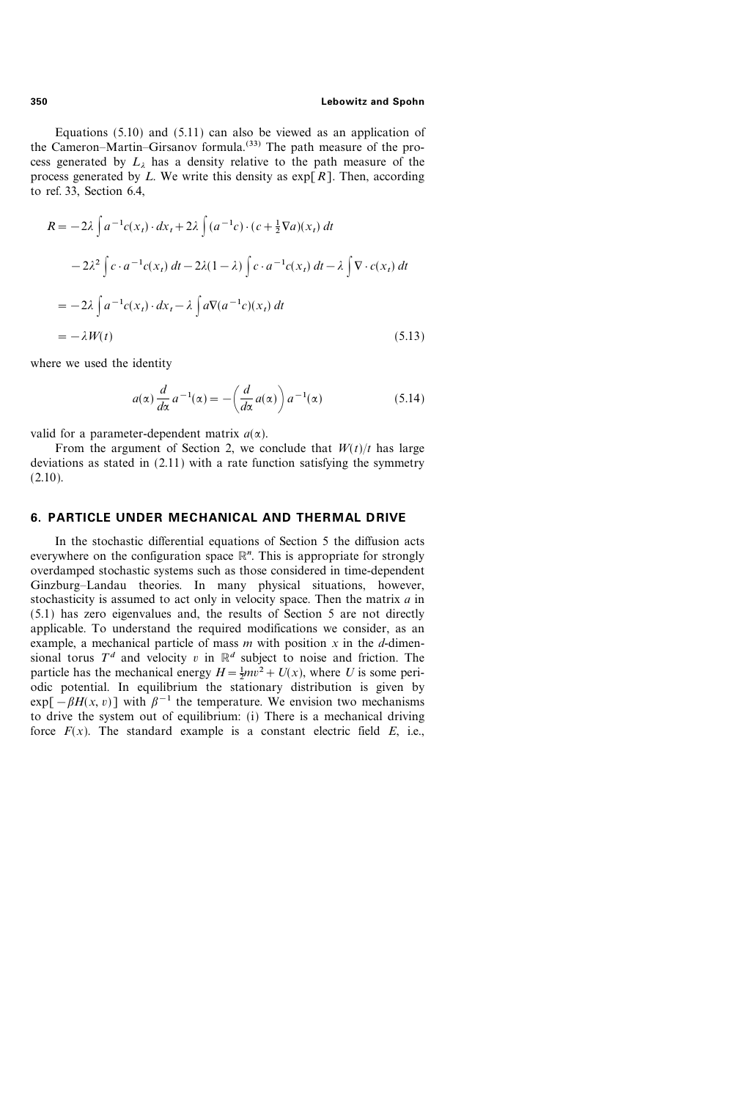### 350 Lebowitz and Spohn

Equations (5.10) and (5.11) can also be viewed as an application of the Cameron-Martin-Girsanov formula.<sup>(33)</sup> The path measure of the process generated by  $L<sub>\lambda</sub>$  has a density relative to the path measure of the process generated by L. We write this density as  $\exp[R]$ . Then, according to ref. 33, Section 6.4,

$$
R = -2\lambda \int a^{-1}c(x_t) \cdot dx_t + 2\lambda \int (a^{-1}c) \cdot (c + \frac{1}{2}\nabla a)(x_t) dt
$$
  

$$
-2\lambda^2 \int c \cdot a^{-1}c(x_t) dt - 2\lambda(1-\lambda) \int c \cdot a^{-1}c(x_t) dt - \lambda \int \nabla \cdot c(x_t) dt
$$
  

$$
= -2\lambda \int a^{-1}c(x_t) \cdot dx_t - \lambda \int a\nabla (a^{-1}c)(x_t) dt
$$
  

$$
= -\lambda W(t) \qquad (5.13)
$$

where we used the identity

$$
a(\alpha) \frac{d}{d\alpha} a^{-1}(\alpha) = -\left(\frac{d}{d\alpha} a(\alpha)\right) a^{-1}(\alpha) \tag{5.14}
$$

valid for a parameter-dependent matrix  $a(x)$ .

From the argument of Section 2, we conclude that  $W(t)/t$  has large deviations as stated in (2.11) with a rate function satisfying the symmetry (2.10).

# 6. PARTICLE UNDER MECHANICAL AND THERMAL DRIVE

In the stochastic differential equations of Section 5 the diffusion acts everywhere on the configuration space  $\mathbb{R}^n$ . This is appropriate for strongly overdamped stochastic systems such as those considered in time-dependent Ginzburg-Landau theories. In many physical situations, however, stochasticity is assumed to act only in velocity space. Then the matrix  $a$  in (5.1) has zero eigenvalues and, the results of Section 5 are not directly applicable. To understand the required modifications we consider, as an example, a mechanical particle of mass  $m$  with position  $x$  in the  $d$ -dimensional torus  $T<sup>d</sup>$  and velocity v in  $\mathbb{R}^d$  subject to noise and friction. The particle has the mechanical energy  $H = \frac{1}{2}mv^2 + U(x)$ , where U is some periodic potential. In equilibrium the stationary distribution is given by  $\exp[-\beta H(x, v)]$  with  $\beta^{-1}$  the temperature. We envision two mechanisms to drive the system out of equilibrium: (i) There is a mechanical driving force  $F(x)$ . The standard example is a constant electric field E, i.e.,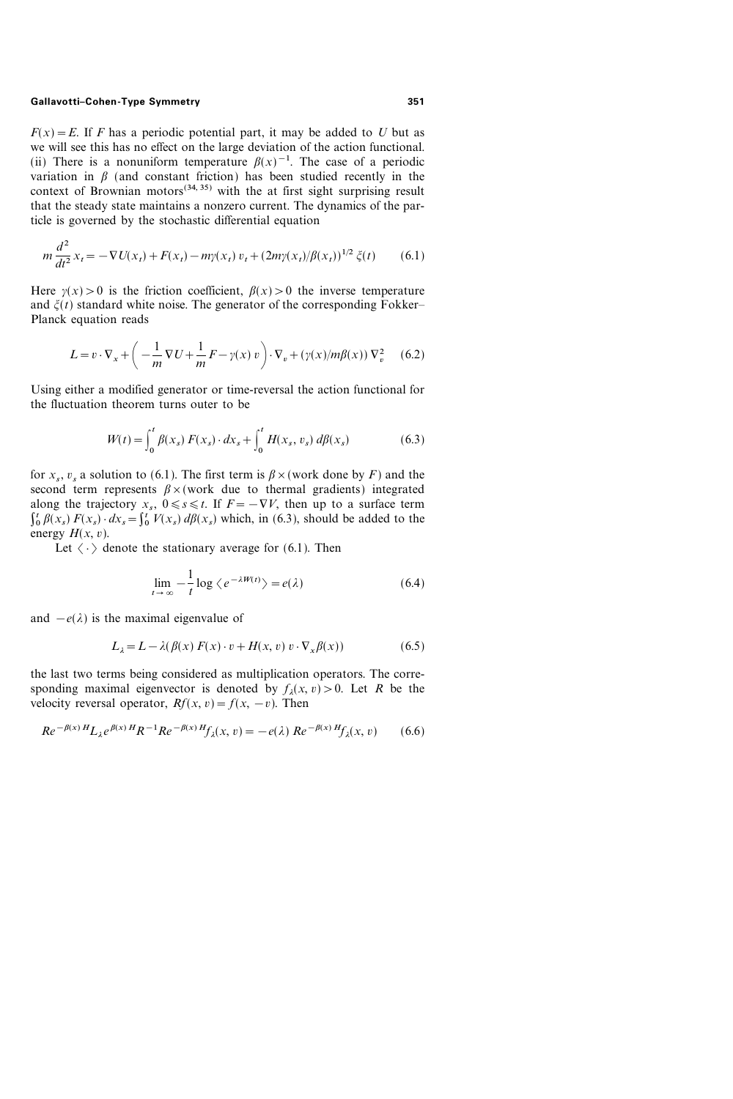$F(x) = E$ . If F has a periodic potential part, it may be added to U but as we will see this has no effect on the large deviation of the action functional. (ii) There is a nonuniform temperature  $\beta(x)^{-1}$ . The case of a periodic variation in  $\beta$  (and constant friction) has been studied recently in the context of Brownian motors<sup>(34, 35)</sup> with the at first sight surprising result that the steady state maintains a nonzero current. The dynamics of the particle is governed by the stochastic differential equation

$$
m\frac{d^2}{dt^2}x_t = -\nabla U(x_t) + F(x_t) - m\gamma(x_t) v_t + (2m\gamma(x_t)/\beta(x_t))^{1/2} \xi(t)
$$
(6.1)

Here  $y(x) > 0$  is the friction coefficient,  $\beta(x) > 0$  the inverse temperature and  $\xi(t)$  standard white noise. The generator of the corresponding Fokker-Planck equation reads

$$
L = v \cdot \nabla_x + \left( -\frac{1}{m} \nabla U + \frac{1}{m} F - \gamma(x) v \right) \cdot \nabla_v + \left( \gamma(x) / m \beta(x) \right) \nabla_v^2 \tag{6.2}
$$

Using either a modified generator or time-reversal the action functional for the fluctuation theorem turns outer to be

$$
W(t) = \int_0^t \beta(x_s) F(x_s) \cdot dx_s + \int_0^t H(x_s, v_s) d\beta(x_s)
$$
 (6.3)

for  $x_s$ ,  $v_s$  a solution to (6.1). The first term is  $\beta \times$  (work done by F) and the second term represents  $\beta \times$  (work due to thermal gradients) integrated along the trajectory  $x_s$ ,  $0 \le s \le t$ . If  $F = -\nabla V$ , then up to a surface term  $\int_0^t \beta(x_s) F(x_s) \cdot dx_s = \int_0^t V(x_s) d\beta(x_s)$  which, in (6.3), should be added to the energy  $H(x, v)$ .

Let  $\langle \cdot \rangle$  denote the stationary average for (6.1). Then

$$
\lim_{t \to \infty} -\frac{1}{t} \log \langle e^{-\lambda W(t)} \rangle = e(\lambda)
$$
 (6.4)

and  $-e(\lambda)$  is the maximal eigenvalue of

$$
L_{\lambda} = L - \lambda(\beta(x) F(x) \cdot v + H(x, v) v \cdot \nabla_x \beta(x))
$$
\n(6.5)

the last two terms being considered as multiplication operators. The corresponding maximal eigenvector is denoted by  $f_{\lambda}(x, v) > 0$ . Let R be the velocity reversal operator,  $Rf(x, v) = f(x, -v)$ . Then

$$
Re^{-\beta(x)H}L_{\lambda}e^{\beta(x)H}R^{-1}Re^{-\beta(x)H}f_{\lambda}(x,v) = -e(\lambda)Re^{-\beta(x)H}f_{\lambda}(x,v)
$$
(6.6)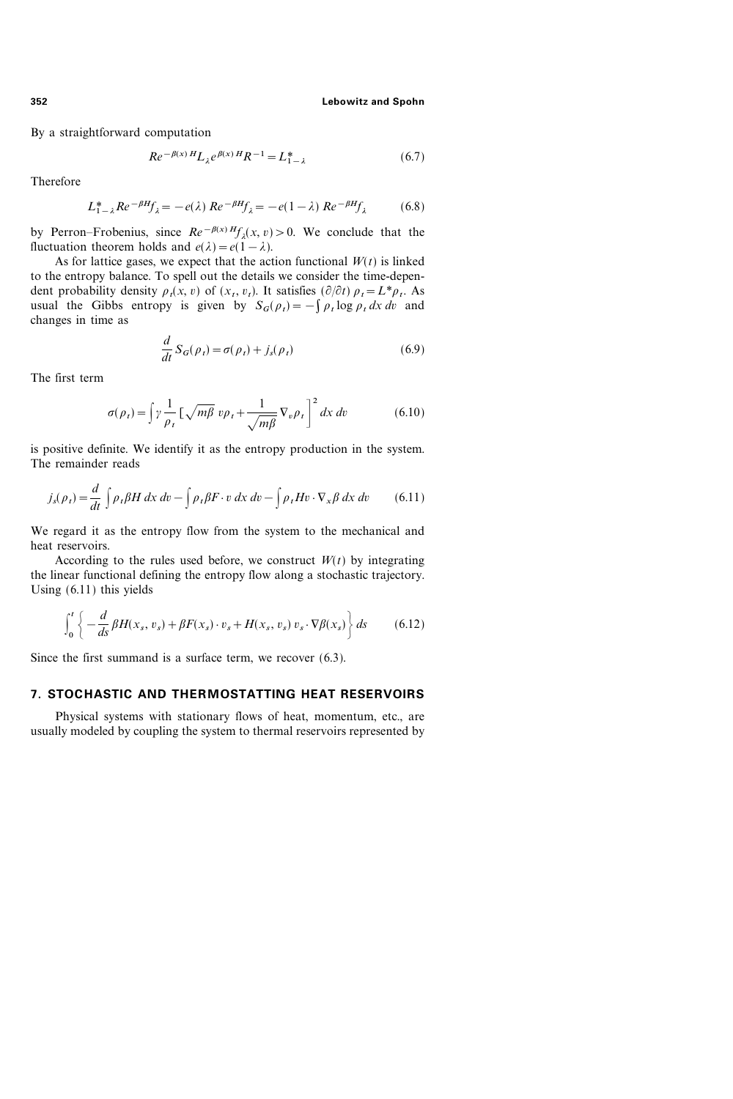By a straightforward computation

$$
Re^{-\beta(x)H}L_{\lambda}e^{\beta(x)H}R^{-1} = L_{1-\lambda}^{*}
$$
 (6.7)

Therefore

$$
L_{1-\lambda}^* Re^{-\beta H} f_{\lambda} = -e(\lambda) \, Re^{-\beta H} f_{\lambda} = -e(1-\lambda) \, Re^{-\beta H} f_{\lambda} \tag{6.8}
$$

by Perron-Frobenius, since  $Re^{-\beta(x)H}f_{\lambda}(x, v)>0$ . We conclude that the fluctuation theorem holds and  $e(\lambda) = e(1-\lambda)$ .

As for lattice gases, we expect that the action functional  $W(t)$  is linked to the entropy balance. To spell out the details we consider the time-dependent probability density  $\rho_t(x, v)$  of  $(x_t, v_t)$ . It satisfies  $(\partial/\partial t) \rho_t = L^*\rho_t$ . As usual the Gibbs entropy is given by  $S_G(\rho_t) = - \int \rho_t \log \rho_t dx dv$  and changes in time as

$$
\frac{d}{dt}S_G(\rho_t) = \sigma(\rho_t) + j_s(\rho_t)
$$
\n(6.9)

The first term

$$
\sigma(\rho_t) = \int \gamma \frac{1}{\rho_t} \left[ \sqrt{m\beta} \ v \rho_t + \frac{1}{\sqrt{m\beta}} \ \nabla_v \rho_t \right]^2 dx dv \tag{6.10}
$$

is positive definite. We identify it as the entropy production in the system. The remainder reads

$$
j_s(\rho_t) = \frac{d}{dt} \int \rho_t \beta H \, dx \, dv - \int \rho_t \beta F \cdot v \, dx \, dv - \int \rho_t H v \cdot \nabla_x \beta \, dx \, dv \qquad (6.11)
$$

We regard it as the entropy flow from the system to the mechanical and heat reservoirs.

According to the rules used before, we construct  $W(t)$  by integrating the linear functional defining the entropy flow along a stochastic trajectory. Using (6.11) this yields

$$
\int_0^t \left\{ -\frac{d}{ds} \beta H(x_s, v_s) + \beta F(x_s) \cdot v_s + H(x_s, v_s) v_s \cdot \nabla \beta(x_s) \right\} ds \tag{6.12}
$$

Since the first summand is a surface term, we recover (6.3).

### 7. STOCHASTIC AND THERMOSTATTING HEAT RESERVOIRS

Physical systems with stationary flows of heat, momentum, etc., are usually modeled by coupling the system to thermal reservoirs represented by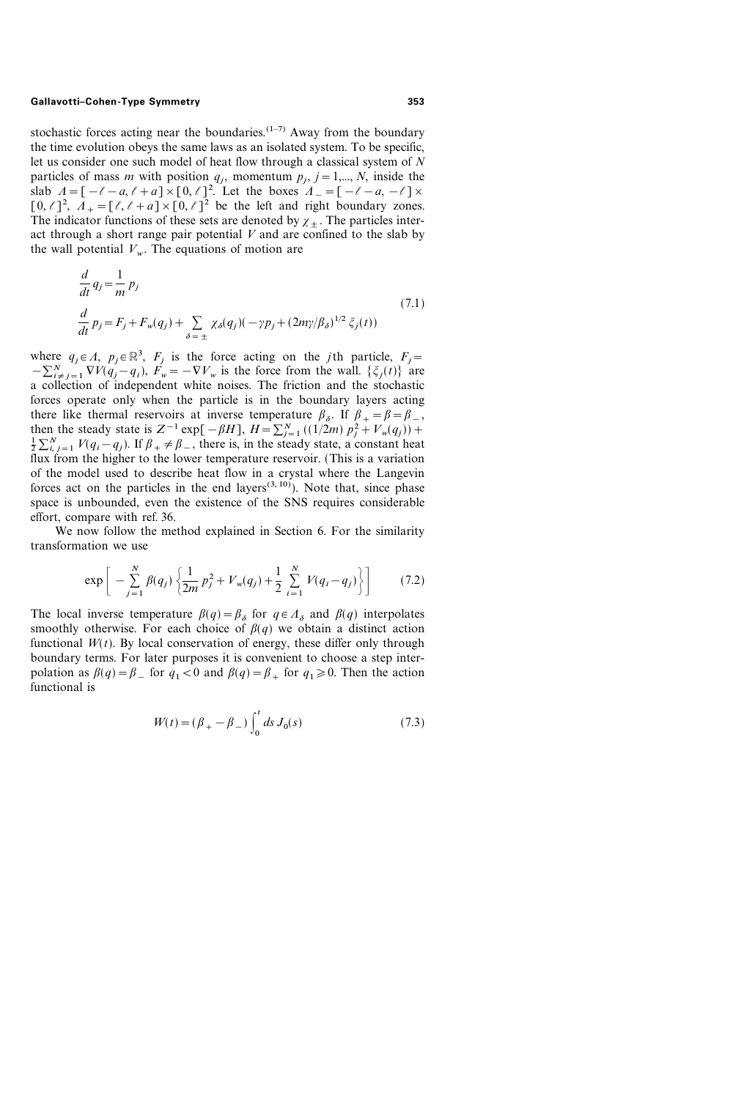stochastic forces acting near the boundaries. $(1-7)$  Away from the boundary the time evolution obeys the same laws as an isolated system. To be specific, let us consider one such model of heat flow through a classical system of N particles of mass m with position  $q_i$ , momentum  $p_i$ ,  $j=1,..., N$ , inside the slab  $A = [-\ell - a, \ell + a] \times [0, \ell]^2$ . Let the boxes  $A = [-\ell - a, -\ell] \times$  $[0, \ell]^2$ ,  $A_+ = [\ell, \ell + a] \times [0, \ell]^2$  be the left and right boundary zones. The indicator functions of these sets are denoted by  $\chi$ . The particles interact through a short range pair potential  $V$  and are confined to the slab by the wall potential  $V<sub>w</sub>$ . The equations of motion are

$$
\frac{d}{dt}q_j = \frac{1}{m}p_j
$$
\n
$$
\frac{d}{dt}p_j = F_j + F_w(q_j) + \sum_{\delta = \pm} \chi_{\delta}(q_j)(-\gamma p_j + (2m\gamma/\beta_{\delta})^{1/2}\xi_j(t))
$$
\n(7.1)

where  $q_j \in A$ ,  $p_j \in \mathbb{R}^3$ ,  $F_j$  is the force acting on the *j*th particle,  $F_j =$  $-\sum_{i \neq j=1}^{N} \nabla V(q_j - q_i)$ ,  $\vec{F_w} = -\nabla V_w$  is the force from the wall.  $\{\xi_j(t)\}$  are a collection of independent white noises. The friction and the stochastic forces operate only when the particle is in the boundary layers acting there like thermal reservoirs at inverse temperature  $\beta_{\delta}$ . If  $\beta_{+}=\beta=\beta_{-}$ , then the steady state is  $Z^{-1}$  exp[  $-\beta H$ ],  $H = \sum_{j=1}^{N} ((1/2m) p_j^2)$ then the steady state is  $Z^{-1}$  exp[ $-\beta H$ ],  $H = \sum_{j=1}^{N} ((1/2m) p_j^2 + V_w(q_j)) + \frac{1}{2} \sum_{i,j=1}^{N} V(q_i - q_j)$ . If  $\beta_+ \neq \beta_-$ , there is, in the steady state, a constant heat flux from the higher to the lower temperature reservoir. (This is a variation of the model used to describe heat flow in a crystal where the Langevin forces act on the particles in the end layers<sup> $(3, 10)$ </sup>). Note that, since phase space is unbounded, even the existence of the SNS requires considerable effort, compare with ref. 36.

We now follow the method explained in Section 6. For the similarity transformation we use

$$
\exp\bigg[-\sum_{j=1}^{N} \beta(q_j) \left\{\frac{1}{2m} p_j^2 + V_w(q_j) + \frac{1}{2} \sum_{i=1}^{N} V(q_i - q_j) \right\}\bigg] \tag{7.2}
$$

The local inverse temperature  $\beta(q) = \beta_{\delta}$  for  $q \in A_{\delta}$  and  $\beta(q)$  interpolates smoothly otherwise. For each choice of  $\beta(q)$  we obtain a distinct action functional  $W(t)$ . By local conservation of energy, these differ only through boundary terms. For later purposes it is convenient to choose a step interpolation as  $\beta(q)=\beta_{-}$  for  $q_1<0$  and  $\beta(q)=\beta_{+}$  for  $q_1\geq 0$ . Then the action functional is

$$
W(t) = (\beta_{+} - \beta_{-}) \int_{0}^{t} ds J_{0}(s)
$$
\n(7.3)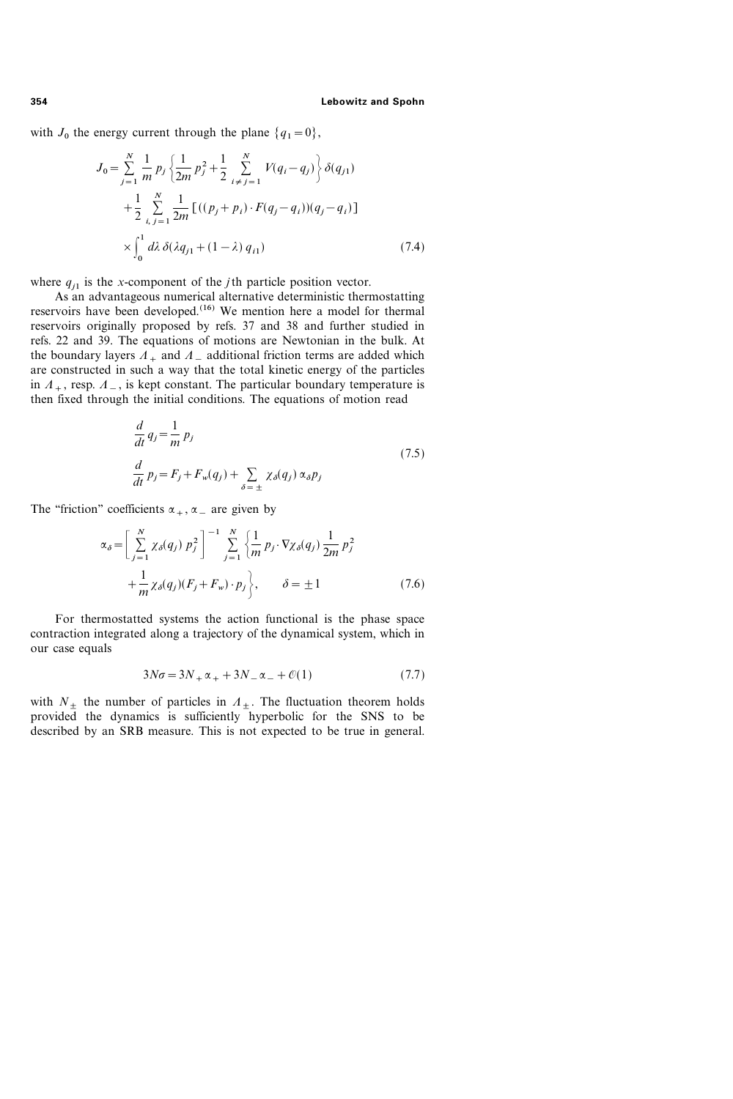with  $J_0$  the energy current through the plane  $\{q_1=0\}$ ,

$$
J_0 = \sum_{j=1}^N \frac{1}{m} p_j \left\{ \frac{1}{2m} p_j^2 + \frac{1}{2} \sum_{i \neq j=1}^N V(q_i - q_j) \right\} \delta(q_{j1})
$$
  
+ 
$$
\frac{1}{2} \sum_{i,j=1}^N \frac{1}{2m} \left[ ((p_j + p_i) \cdot F(q_j - q_i)) (q_j - q_i) \right]
$$
  

$$
\times \int_0^1 d\lambda \, \delta(\lambda q_{j1} + (1 - \lambda) \, q_{i1})
$$
 (7.4)

where  $q_{i1}$  is the x-component of the *j*th particle position vector.

As an advantageous numerical alternative deterministic thermostatting reservoirs have been developed.<sup>(16)</sup> We mention here a model for thermal reservoirs originally proposed by refs. 37 and 38 and further studied in refs. 22 and 39. The equations of motions are Newtonian in the bulk. At the boundary layers  $A_{+}$  and  $A_{-}$  additional friction terms are added which are constructed in such a way that the total kinetic energy of the particles in  $A_{+}$ , resp.  $A_{-}$ , is kept constant. The particular boundary temperature is then fixed through the initial conditions. The equations of motion read

$$
\frac{d}{dt}q_j = \frac{1}{m}p_j
$$
\n
$$
\frac{d}{dt}p_j = F_j + F_w(q_j) + \sum_{\delta = \pm} \chi_{\delta}(q_j) \alpha_{\delta} p_j
$$
\n(7.5)

The "friction" coefficients  $\alpha_+$ ,  $\alpha_-$  are given by

$$
\alpha_{\delta} = \left[ \sum_{j=1}^{N} \chi_{\delta}(q_j) p_j^2 \right]^{-1} \sum_{j=1}^{N} \left\{ \frac{1}{m} p_j \cdot \nabla \chi_{\delta}(q_j) \frac{1}{2m} p_j^2 + \frac{1}{m} \chi_{\delta}(q_j) (F_j + F_w) \cdot p_j \right\}, \qquad \delta = \pm 1
$$
\n(7.6)

For thermostatted systems the action functional is the phase space contraction integrated along a trajectory of the dynamical system, which in our case equals

$$
3N\sigma = 3N_{+}\alpha_{+} + 3N_{-}\alpha_{-} + \mathcal{O}(1) \tag{7.7}
$$

with  $N_{+}$  the number of particles in  $A_{+}$ . The fluctuation theorem holds provided the dynamics is sufficiently hyperbolic for the SNS to be described by an SRB measure. This is not expected to be true in general.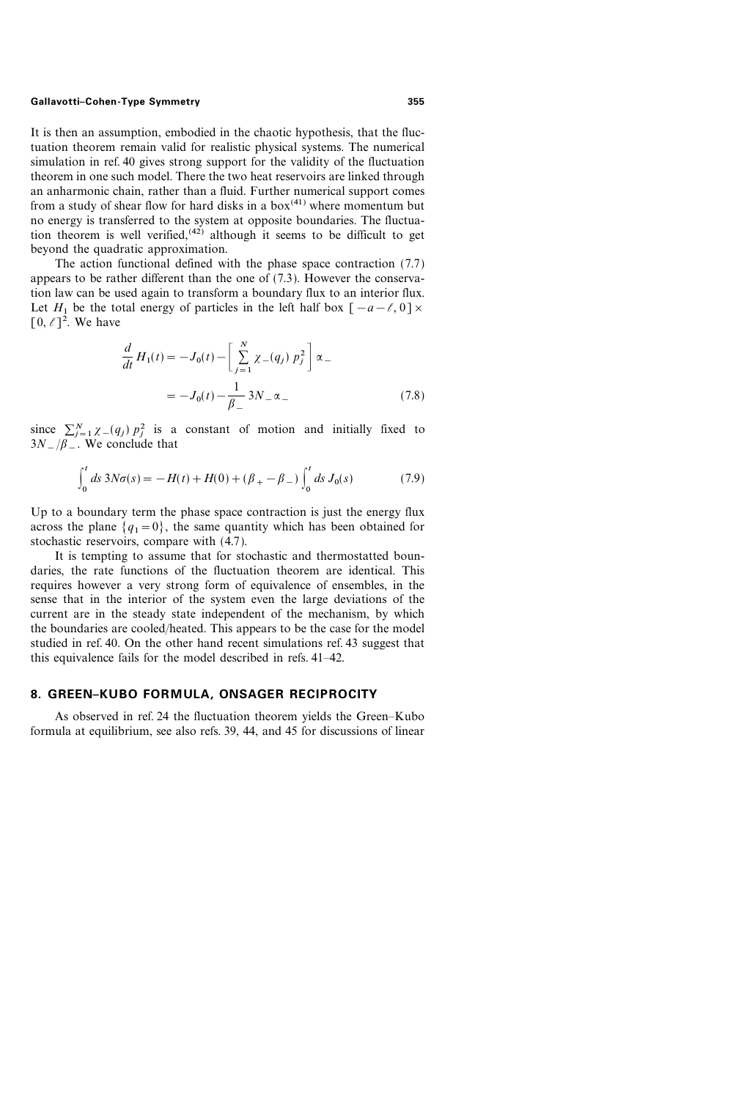It is then an assumption, embodied in the chaotic hypothesis, that the fluctuation theorem remain valid for realistic physical systems. The numerical simulation in ref. 40 gives strong support for the validity of the fluctuation theorem in one such model. There the two heat reservoirs are linked through an anharmonic chain, rather than a fluid. Further numerical support comes from a study of shear flow for hard disks in a box<sup>(41)</sup> where momentum but no energy is transferred to the system at opposite boundaries. The fluctuation theorem is well verified,<sup>(42)</sup> although it seems to be difficult to get beyond the quadratic approximation.

The action functional defined with the phase space contraction (7.7) appears to be rather different than the one of (7.3). However the conservation law can be used again to transform a boundary flux to an interior flux. Let  $H_1$  be the total energy of particles in the left half box  $[-a-\ell, 0] \times$  $[0, \ell]^2$ . We have

$$
\frac{d}{dt}H_1(t) = -J_0(t) - \left[\sum_{j=1}^{N} \chi_{-}(q_j) \ p_j^2\right] \alpha_{-}
$$

$$
= -J_0(t) - \frac{1}{\beta_{-}} 3N_{-} \alpha_{-}
$$
(7.8)

since  $\sum_{j=1}^{N} \chi_{-}(q_j) p_j^2$  is a constant of motion and initially fixed to  $3N/\beta$ . We conclude that

$$
\int_0^t ds \ 3N\sigma(s) = -H(t) + H(0) + (\beta_+ - \beta_-) \int_0^t ds \ J_0(s) \tag{7.9}
$$

Up to a boundary term the phase space contraction is just the energy flux across the plane  $\{q_1=0\}$ , the same quantity which has been obtained for stochastic reservoirs, compare with (4.7).

It is tempting to assume that for stochastic and thermostatted boundaries, the rate functions of the fluctuation theorem are identical. This requires however a very strong form of equivalence of ensembles, in the sense that in the interior of the system even the large deviations of the current are in the steady state independent of the mechanism, by which the boundaries are cooled/heated. This appears to be the case for the model studied in ref. 40. On the other hand recent simulations ref. 43 suggest that this equivalence fails for the model described in refs.  $41-42$ .

# 8. GREEN-KUBO FORMULA, ONSAGER RECIPROCITY

As observed in ref. 24 the fluctuation theorem yields the Green-Kubo formula at equilibrium, see also refs. 39, 44, and 45 for discussions of linear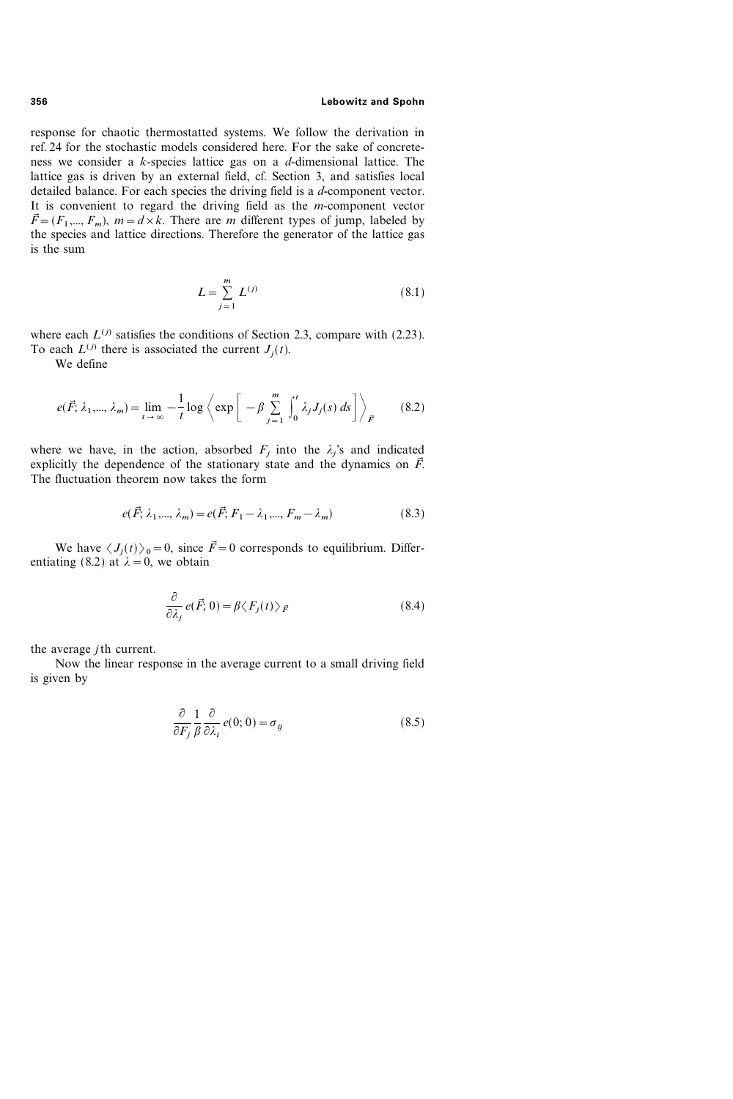response for chaotic thermostatted systems. We follow the derivation in ref. 24 for the stochastic models considered here. For the sake of concreteness we consider a k-species lattice gas on a d-dimensional lattice. The lattice gas is driven by an external field, cf. Section 3, and satisfies local detailed balance. For each species the driving field is a *d*-component vector. It is convenient to regard the driving field as the  $m$ -component vector  $\vec{F}=(F_1,..., F_m), m=d\times k$ . There are m different types of jump, labeled by the species and lattice directions. Therefore the generator of the lattice gas is the sum

$$
L = \sum_{j=1}^{m} L^{(j)} \tag{8.1}
$$

where each  $L^{(j)}$  satisfies the conditions of Section 2.3, compare with (2.23). To each  $L^{(j)}$  there is associated the current  $J_i(t)$ .

We define

$$
e(\vec{F}; \lambda_1, \ldots, \lambda_m) = \lim_{t \to \infty} -\frac{1}{t} \log \left\langle \exp \left[ -\beta \sum_{j=1}^m \int_0^t \lambda_j J_j(s) \, ds \right] \right\rangle_{\vec{F}} \tag{8.2}
$$

where we have, in the action, absorbed  $F_j$  into the  $\lambda_j$ 's and indicated explicitly the dependence of the stationary state and the dynamics on  $\vec{F}$ . The fluctuation theorem now takes the form

$$
e(\vec{F}; \lambda_1, \dots, \lambda_m) = e(\vec{F}; F_1 - \lambda_1, \dots, F_m - \lambda_m)
$$
\n(8.3)

We have  $\langle J_i(t)\rangle_0=0$ , since  $\vec{F}=0$  corresponds to equilibrium. Differentiating (8.2) at  $\lambda = 0$ , we obtain

$$
\frac{\partial}{\partial \lambda_j} e(\vec{F}; 0) = \beta \langle F_j(t) \rangle_{\vec{F}}
$$
\n(8.4)

the average  $j$ th current.

Now the linear response in the average current to a small driving field is given by

$$
\frac{\partial}{\partial F_j} \frac{1}{\beta} \frac{\partial}{\partial \lambda_i} e(0; 0) = \sigma_{ij}
$$
\n(8.5)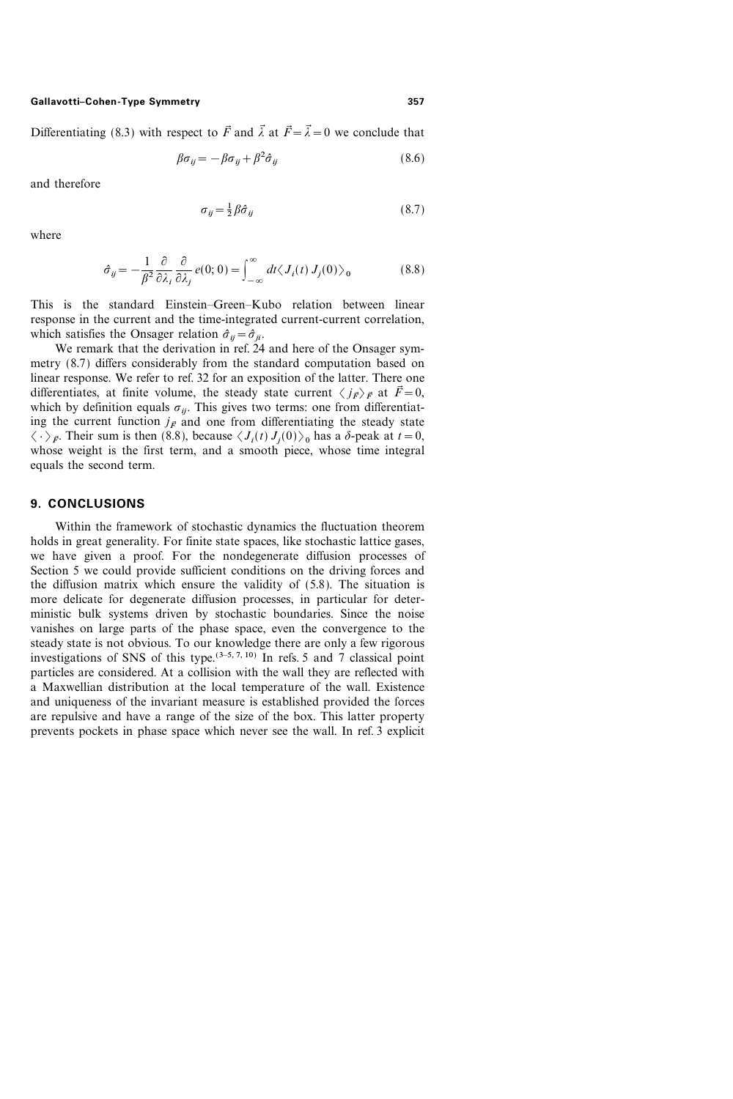Differentiating (8.3) with respect to  $\vec{F}$  and  $\vec{\lambda}$  at  $\vec{F}=\vec{\lambda}=0$  we conclude that

$$
\beta \sigma_{ij} = -\beta \sigma_{ij} + \beta^2 \hat{\sigma}_{ij} \tag{8.6}
$$

and therefore

$$
\sigma_{ij} = \frac{1}{2} \beta \hat{\sigma}_{ij} \tag{8.7}
$$

where

$$
\hat{\sigma}_{ij} = -\frac{1}{\beta^2} \frac{\partial}{\partial \lambda_i} \frac{\partial}{\partial \lambda_j} e(0; 0) = \int_{-\infty}^{\infty} dt \langle J_i(t) J_j(0) \rangle_0
$$
(8.8)

This is the standard Einstein–Green–Kubo relation between linear response in the current and the time-integrated current-current correlation, which satisfies the Onsager relation  $\hat{\sigma}_{ij}=\hat{\sigma}_{ji}$ .

We remark that the derivation in ref. 24 and here of the Onsager symmetry (8.7) differs considerably from the standard computation based on linear response. We refer to ref. 32 for an exposition of the latter. There one differentiates, at finite volume, the steady state current  $\langle j_{\vec{F}} \rangle_{\vec{F}}$  at  $\vec{F}=0$ , which by definition equals  $\sigma_{ii}$ . This gives two terms: one from differentiating the current function  $j_{\vec{F}}$  and one from differentiating the steady state  $\langle \cdot \rangle_{\vec{r}}$ . Their sum is then (8.8), because  $\langle J_i(t) J_i(0) \rangle_0$  has a  $\delta$ -peak at  $t=0$ , whose weight is the first term, and a smooth piece, whose time integral equals the second term.

### 9. CONCLUSIONS

Within the framework of stochastic dynamics the fluctuation theorem holds in great generality. For finite state spaces, like stochastic lattice gases, we have given a proof. For the nondegenerate diffusion processes of Section 5 we could provide sufficient conditions on the driving forces and the diffusion matrix which ensure the validity of (5.8). The situation is more delicate for degenerate diffusion processes, in particular for deterministic bulk systems driven by stochastic boundaries. Since the noise vanishes on large parts of the phase space, even the convergence to the steady state is not obvious. To our knowledge there are only a few rigorous investigations of SNS of this type.<sup> $(3-5, 7, 10)$ </sup> In refs. 5 and 7 classical point particles are considered. At a collision with the wall they are reflected with a Maxwellian distribution at the local temperature of the wall. Existence and uniqueness of the invariant measure is established provided the forces are repulsive and have a range of the size of the box. This latter property prevents pockets in phase space which never see the wall. In ref. 3 explicit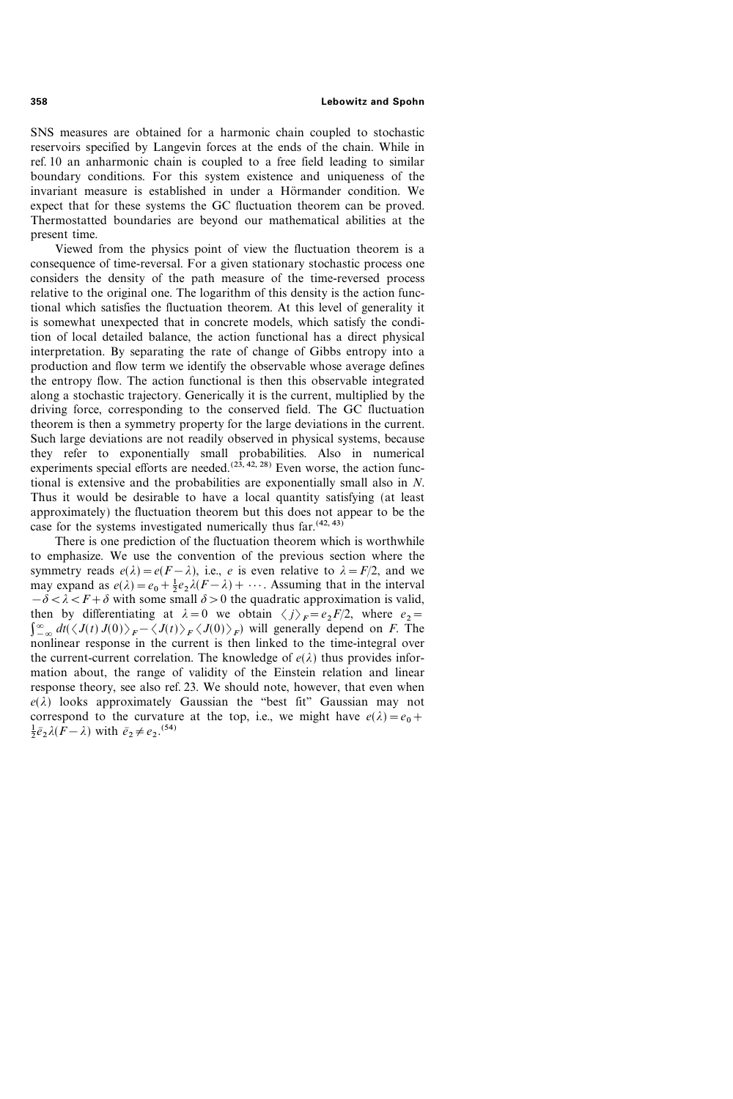358 Lebowitz and Spohn

SNS measures are obtained for a harmonic chain coupled to stochastic reservoirs specified by Langevin forces at the ends of the chain. While in ref. 10 an anharmonic chain is coupled to a free field leading to similar boundary conditions. For this system existence and uniqueness of the invariant measure is established in under a Hörmander condition. We expect that for these systems the GC fluctuation theorem can be proved. Thermostatted boundaries are beyond our mathematical abilities at the present time.

Viewed from the physics point of view the fluctuation theorem is a consequence of time-reversal. For a given stationary stochastic process one considers the density of the path measure of the time-reversed process relative to the original one. The logarithm of this density is the action functional which satisfies the fluctuation theorem. At this level of generality it is somewhat unexpected that in concrete models, which satisfy the condition of local detailed balance, the action functional has a direct physical interpretation. By separating the rate of change of Gibbs entropy into a production and flow term we identify the observable whose average defines the entropy flow. The action functional is then this observable integrated along a stochastic trajectory. Generically it is the current, multiplied by the driving force, corresponding to the conserved field. The GC fluctuation theorem is then a symmetry property for the large deviations in the current. Such large deviations are not readily observed in physical systems, because they refer to exponentially small probabilities. Also in numerical experiments special efforts are needed.<sup>(23, 42, 28)</sup> Even worse, the action functional is extensive and the probabilities are exponentially small also in N. Thus it would be desirable to have a local quantity satisfying (at least approximately) the fluctuation theorem but this does not appear to be the case for the systems investigated numerically thus far.  $(42, 43)$ 

There is one prediction of the fluctuation theorem which is worthwhile to emphasize. We use the convention of the previous section where the symmetry reads  $e(\lambda) = e(F - \lambda)$ , i.e., e is even relative to  $\lambda = F/2$ , and we may expand as  $e(\lambda) = e_0 + \frac{1}{2}e_2\lambda(F - \lambda) + \cdots$ . Assuming that in the interval  $-\delta < \lambda < F+\delta$  with some small  $\delta > 0$  the quadratic approximation is valid, then by differentiating at  $\lambda=0$  we obtain  $\langle i \rangle_F = e_2F/2$ , where  $e_2=$  $\int_{-\infty}^{\infty} dt (\langle J(t) J(0) \rangle_F - \langle J(t) \rangle_F \langle J(0) \rangle_F)$  will generally depend on F. The nonlinear response in the current is then linked to the time-integral over the current-current correlation. The knowledge of  $e(\lambda)$  thus provides information about, the range of validity of the Einstein relation and linear response theory, see also ref. 23. We should note, however, that even when  $e(\lambda)$  looks approximately Gaussian the "best fit" Gaussian may not correspond to the curvature at the top, i.e., we might have  $e(\lambda) = e_0 +$  $\frac{1}{2}\bar{e}_2\lambda(F-\lambda)$  with  $\bar{e}_2\neq e_2$ .<sup>(54)</sup>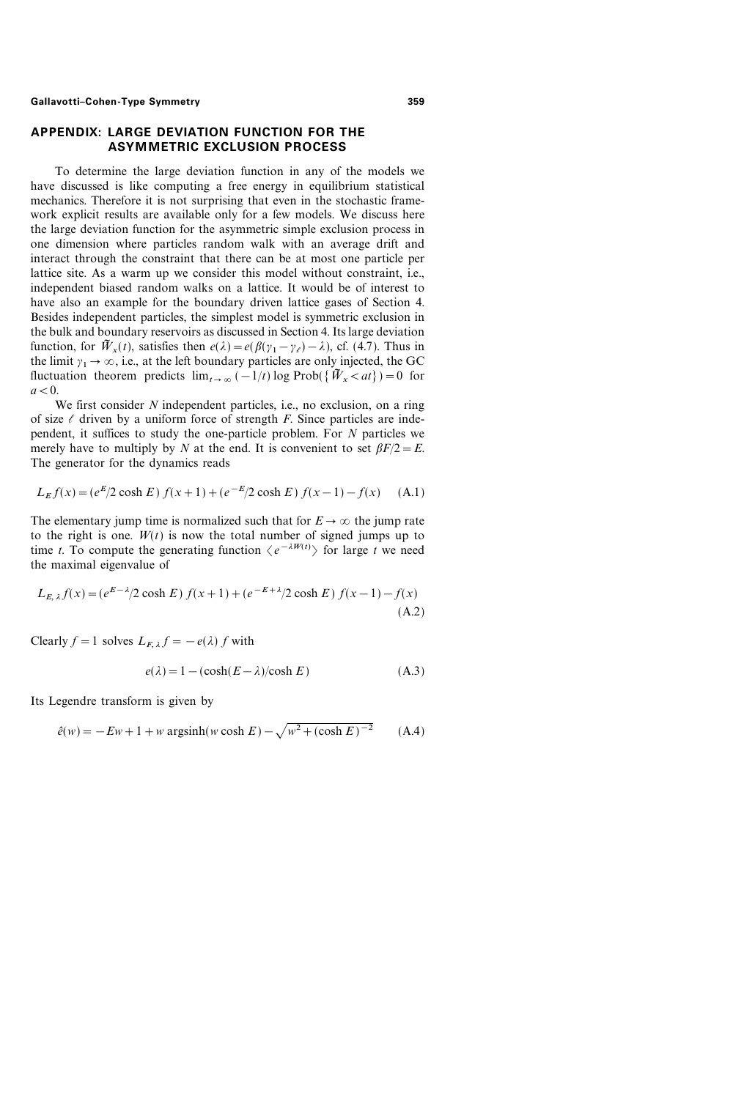# APPENDIX: LARGE DEVIATION FUNCTION FOR THE ASYMMETRIC EXCLUSION PROCESS

To determine the large deviation function in any of the models we have discussed is like computing a free energy in equilibrium statistical mechanics. Therefore it is not surprising that even in the stochastic framework explicit results are available only for a few models. We discuss here the large deviation function for the asymmetric simple exclusion process in one dimension where particles random walk with an average drift and interact through the constraint that there can be at most one particle per lattice site. As a warm up we consider this model without constraint, i.e., independent biased random walks on a lattice. It would be of interest to have also an example for the boundary driven lattice gases of Section 4. Besides independent particles, the simplest model is symmetric exclusion in the bulk and boundary reservoirs as discussed in Section 4. Its large deviation function, for  $\tilde{W}_x(t)$ , satisfies then  $e(\lambda) = e(\beta(\gamma_1 - \gamma_2) - \lambda)$ , cf. (4.7). Thus in the limit  $y_1 \rightarrow \infty$ , i.e., at the left boundary particles are only injected, the GC fluctuation theorem predicts  $\lim_{t\to\infty} (-1/t) \log \text{Prob}(\{\tilde{W}_x \le at\}) = 0$  for  $a < 0$ .

We first consider  $N$  independent particles, i.e., no exclusion, on a ring of size  $\ell$  driven by a uniform force of strength F. Since particles are independent, it suffices to study the one-particle problem. For N particles we merely have to multiply by N at the end. It is convenient to set  $\beta F/2 = E$ . The generator for the dynamics reads

$$
L_E f(x) = (e^E/2 \cosh E) f(x+1) + (e^{-E}/2 \cosh E) f(x-1) - f(x)
$$
 (A.1)

The elementary jump time is normalized such that for  $E \to \infty$  the jump rate to the right is one.  $W(t)$  is now the total number of signed jumps up to time t. To compute the generating function  $\langle e^{-\lambda W(t)} \rangle$  for large t we need the maximal eigenvalue of

$$
L_{E, \lambda} f(x) = (e^{E - \lambda/2} \cosh E) f(x+1) + (e^{-E + \lambda/2} \cosh E) f(x-1) - f(x)
$$
\n(A.2)

Clearly  $f = 1$  solves  $L_{F, \lambda} f = -e(\lambda) f$  with

$$
e(\lambda) = 1 - (\cosh(E - \lambda)/\cosh E) \tag{A.3}
$$

Its Legendre transform is given by

$$
\hat{e}(w) = -Ew + 1 + w \operatorname{argsinh}(w \cosh E) - \sqrt{w^2 + (\cosh E)^{-2}} \qquad (A.4)
$$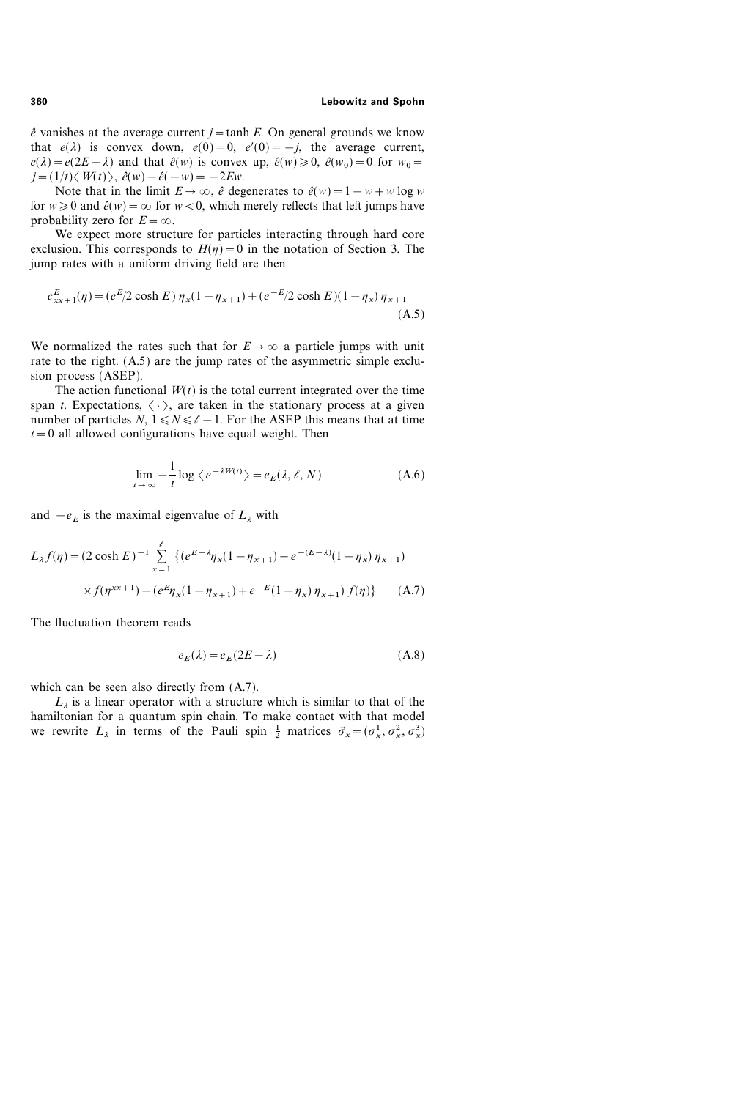$\hat{e}$  vanishes at the average current j = tanh E. On general grounds we know that  $e(\lambda)$  is convex down,  $e(0)=0$ ,  $e'(0)=-j$ , the average current,  $e(\lambda)=e(2E-\lambda)$  and that  $\hat{e}(w)$  is convex up,  $\hat{e}(w)\geq0$ ,  $\hat{e}(w_0)=0$  for  $w_0=0$  $j=(1/t)\langle W(t)\rangle$ ,  $\hat{e}(w)-\hat{e}(-w)=-2Ew$ .

Note that in the limit  $E \to \infty$ ,  $\hat{e}$  degenerates to  $\hat{e}(w)=1-w+w \log w$ for  $w\geq 0$  and  $\hat{e}(w)=\infty$  for  $w<0$ , which merely reflects that left jumps have probability zero for  $E = \infty$ .

We expect more structure for particles interacting through hard core exclusion. This corresponds to  $H(\eta)=0$  in the notation of Section 3. The jump rates with a uniform driving field are then

$$
c_{xx+1}^{E}(\eta) = (e^{E}/2 \cosh E) \eta_x (1 - \eta_{x+1}) + (e^{-E}/2 \cosh E)(1 - \eta_x) \eta_{x+1}
$$
\n(A.5)

We normalized the rates such that for  $E \to \infty$  a particle jumps with unit rate to the right. (A.5) are the jump rates of the asymmetric simple exclusion process (ASEP).

The action functional  $W(t)$  is the total current integrated over the time span t. Expectations,  $\langle \cdot \rangle$ , are taken in the stationary process at a given number of particles N,  $1 \le N \le \ell-1$ . For the ASEP this means that at time  $t=0$  all allowed configurations have equal weight. Then

$$
\lim_{t \to \infty} -\frac{1}{t} \log \langle e^{-\lambda W(t)} \rangle = e_E(\lambda, \ell, N)
$$
 (A.6)

and  $-e<sub>E</sub>$  is the maximal eigenvalue of  $L<sub>\lambda</sub>$  with

$$
L_{\lambda} f(\eta) = (2 \cosh E)^{-1} \sum_{x=1}^{\ell} \left\{ (e^{E - \lambda} \eta_x (1 - \eta_{x+1}) + e^{-(E - \lambda)} (1 - \eta_x) \eta_{x+1}) \right. \\ \times f(\eta^{xx+1}) - (e^E \eta_x (1 - \eta_{x+1}) + e^{-E} (1 - \eta_x) \eta_{x+1}) f(\eta) \right\} \tag{A.7}
$$

The fluctuation theorem reads

$$
e_E(\lambda) = e_E(2E - \lambda)
$$
 (A.8)

which can be seen also directly from  $(A.7)$ .

 $L_{\lambda}$  is a linear operator with a structure which is similar to that of the hamiltonian for a quantum spin chain. To make contact with that model we rewrite  $L_{\lambda}$  in terms of the Pauli spin  $\frac{1}{2}$  matrices  $\vec{\sigma}_x=(\sigma_x^1, \sigma_x^2, \sigma_x^3)$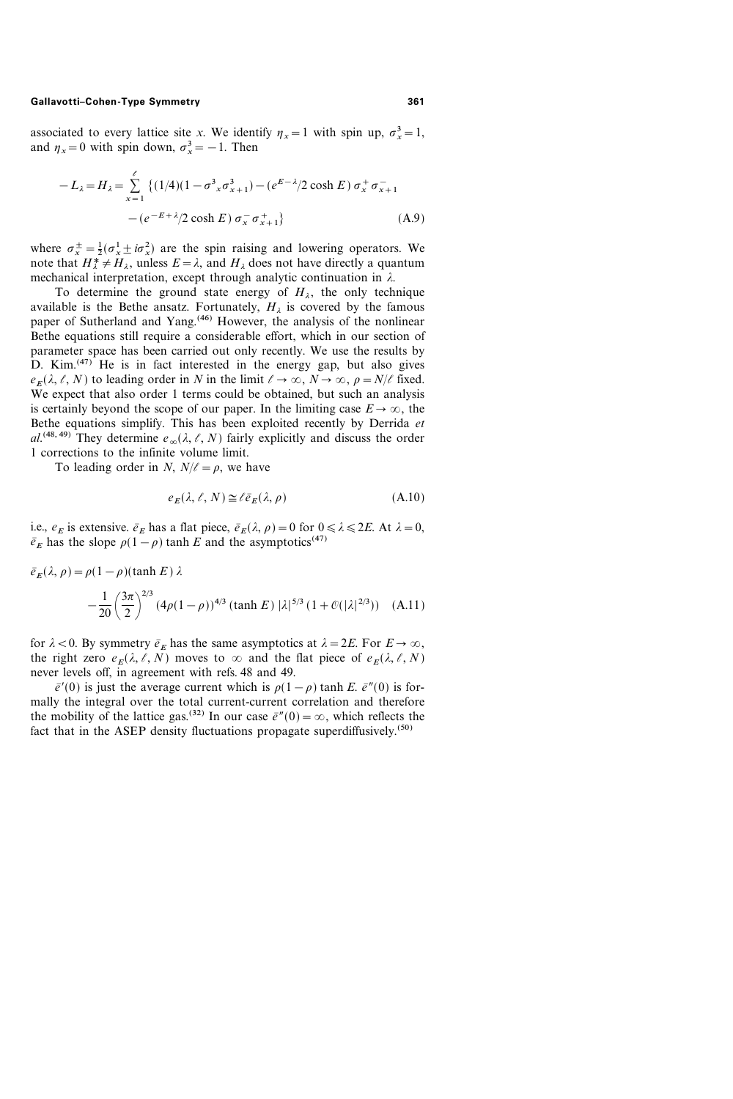associated to every lattice site x. We identify  $\eta_x = 1$  with spin up,  $\sigma_x^3 = 1$ , and  $\eta_x = 0$  with spin down,  $\sigma_x^3 = -1$ . Then

$$
-L_{\lambda} = H_{\lambda} = \sum_{x=1}^{\ell} \left\{ (1/4)(1 - \sigma_{x}^{3} \sigma_{x+1}^{3}) - (e^{E - \lambda}/2 \cosh E) \sigma_{x}^{+} \sigma_{x+1}^{-} - (e^{-E + \lambda}/2 \cosh E) \sigma_{x}^{-} \sigma_{x+1}^{+} \right\}
$$
(A.9)

where  $\sigma_x^{\pm} = \frac{1}{2} (\sigma_x^1 \pm i \sigma_x^2)$  are the spin raising and lowering operators. We note that  $H_1^* \neq H_1$ , unless  $E = \lambda$ , and  $H_1$  does not have directly a quantum mechanical interpretation, except through analytic continuation in  $\lambda$ .

To determine the ground state energy of  $H<sub>2</sub>$ , the only technique available is the Bethe ansatz. Fortunately,  $H_1$  is covered by the famous paper of Sutherland and Yang.(46) However, the analysis of the nonlinear Bethe equations still require a considerable effort, which in our section of parameter space has been carried out only recently. We use the results by D. Kim. $(47)$  He is in fact interested in the energy gap, but also gives  $e_F(\lambda, \ell, N)$  to leading order in N in the limit  $\ell \to \infty$ ,  $N \to \infty$ ,  $\rho = N/\ell$  fixed. We expect that also order 1 terms could be obtained, but such an analysis is certainly beyond the scope of our paper. In the limiting case  $E \to \infty$ , the Bethe equations simplify. This has been exploited recently by Derrida et al.<sup>(48, 49)</sup> They determine  $e_{\infty}(\lambda, \ell, N)$  fairly explicitly and discuss the order 1 corrections to the infinite volume limit.

To leading order in N,  $N/\ell=\rho$ , we have

$$
e_E(\lambda, \ell, N) \cong \ell \bar{e}_E(\lambda, \rho) \tag{A.10}
$$

i.e.,  $e_E$  is extensive.  $\bar{e}_E$  has a flat piece,  $\bar{e}_E(\lambda, \rho)=0$  for  $0 \le \lambda \le 2E$ . At  $\lambda=0$ ,  $\bar{e}_E$  has the slope  $\rho(1-\rho)$  tanh E and the asymptotics<sup>(47)</sup>

$$
\bar{e}_E(\lambda, \rho) = \rho(1 - \rho)(\tanh E) \lambda
$$
  
 
$$
-\frac{1}{20} \left(\frac{3\pi}{2}\right)^{2/3} (4\rho(1 - \rho))^{4/3} (\tanh E) |\lambda|^{5/3} (1 + \mathcal{O}(|\lambda|^{2/3}))
$$
 (A.11)

for  $\lambda < 0$ . By symmetry  $\bar{e}_E$  has the same asymptotics at  $\lambda = 2E$ . For  $E \to \infty$ , the right zero  $e_F(\lambda, \ell, N)$  moves to  $\infty$  and the flat piece of  $e_F(\lambda, \ell, N)$ never levels off, in agreement with refs. 48 and 49.

 $\bar{e}'(0)$  is just the average current which is  $\rho(1-\rho)$  tanh E.  $\bar{e}''(0)$  is formally the integral over the total current-current correlation and therefore the mobility of the lattice gas.<sup>(32)</sup> In our case  $\bar{e}''(0)=\infty$ , which reflects the fact that in the ASEP density fluctuations propagate superdiffusively.<sup>(50)</sup>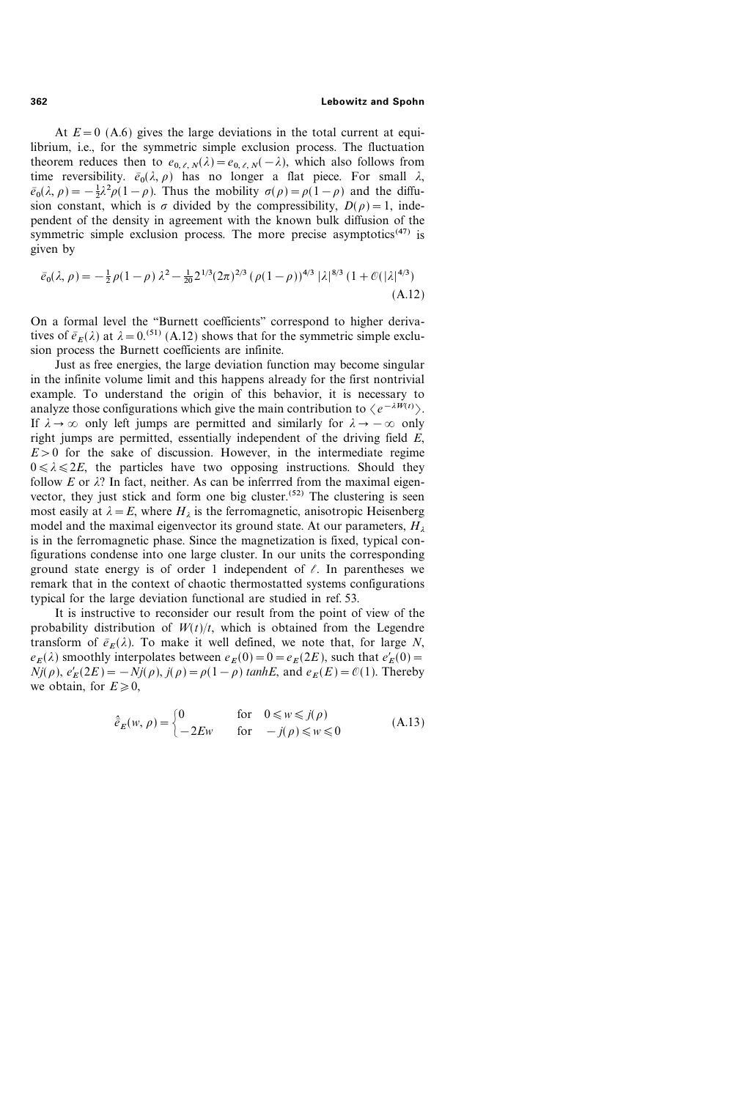At  $E=0$  (A.6) gives the large deviations in the total current at equilibrium, i.e., for the symmetric simple exclusion process. The fluctuation theorem reduces then to  $e_{0,\ell, N}(\lambda) = e_{0,\ell, N}(-\lambda)$ , which also follows from time reversibility.  $\bar{e}_0(\lambda, \rho)$  has no longer a flat piece. For small  $\lambda$ ,  $\bar{\epsilon}_0(\lambda, \rho) = -\frac{1}{2}\lambda^2 \rho(1-\rho)$ . Thus the mobility  $\sigma(\rho) = \rho(1-\rho)$  and the diffusion constant, which is  $\sigma$  divided by the compressibility,  $D(\rho)=1$ , independent of the density in agreement with the known bulk diffusion of the symmetric simple exclusion process. The more precise asymptotics<sup>(47)</sup> is given by

$$
\bar{e}_0(\lambda, \rho) = -\frac{1}{2}\rho(1-\rho)\,\lambda^2 - \frac{1}{20}2^{1/3}(2\pi)^{2/3}\left(\rho(1-\rho)\right)^{4/3}|\lambda|^{8/3}\left(1+\mathcal{O}(|\lambda|^{4/3})\right)
$$
\n(A.12)

On a formal level the "Burnett coefficients" correspond to higher derivatives of  $\bar{e}_E(\lambda)$  at  $\lambda = 0^{(51)}$  (A.12) shows that for the symmetric simple exclusion process the Burnett coefficients are infinite.

Just as free energies, the large deviation function may become singular in the infinite volume limit and this happens already for the first nontrivial example. To understand the origin of this behavior, it is necessary to analyze those configurations which give the main contribution to  $\langle e^{-\lambda W(t)} \rangle$ . If  $\lambda \to \infty$  only left jumps are permitted and similarly for  $\lambda \to -\infty$  only right jumps are permitted, essentially independent of the driving field  $E$ ,  $E>0$  for the sake of discussion. However, in the intermediate regime  $0 \le \lambda \le 2E$ , the particles have two opposing instructions. Should they follow E or  $\lambda$ ? In fact, neither. As can be inferrred from the maximal eigenvector, they just stick and form one big cluster.<sup> $(52)$ </sup> The clustering is seen most easily at  $\lambda = E$ , where  $H_{\lambda}$  is the ferromagnetic, anisotropic Heisenberg model and the maximal eigenvector its ground state. At our parameters,  $H<sub>2</sub>$ is in the ferromagnetic phase. Since the magnetization is fixed, typical configurations condense into one large cluster. In our units the corresponding ground state energy is of order 1 independent of  $\ell$ . In parentheses we remark that in the context of chaotic thermostatted systems configurations typical for the large deviation functional are studied in ref. 53.

It is instructive to reconsider our result from the point of view of the probability distribution of  $W(t)/t$ , which is obtained from the Legendre transform of  $\bar{e}_E(\lambda)$ . To make it well defined, we note that, for large N,  $e_E(\lambda)$  smoothly interpolates between  $e_E(0) = 0 = e_E(2E)$ , such that  $e'_E(0) =$  $Nj(\rho), e'_E(2E)=-Nj(\rho), j(\rho)=\rho(1-\rho) \tanh E$ , and  $e_E(E)=\mathcal{O}(1)$ . Thereby we obtain, for  $E\geq 0$ ,

$$
\hat{\vec{e}}_E(w,\rho) = \begin{cases}\n0 & \text{for } 0 \le w \le j(\rho) \\
-2Ew & \text{for } -j(\rho) \le w \le 0\n\end{cases}
$$
\n(A.13)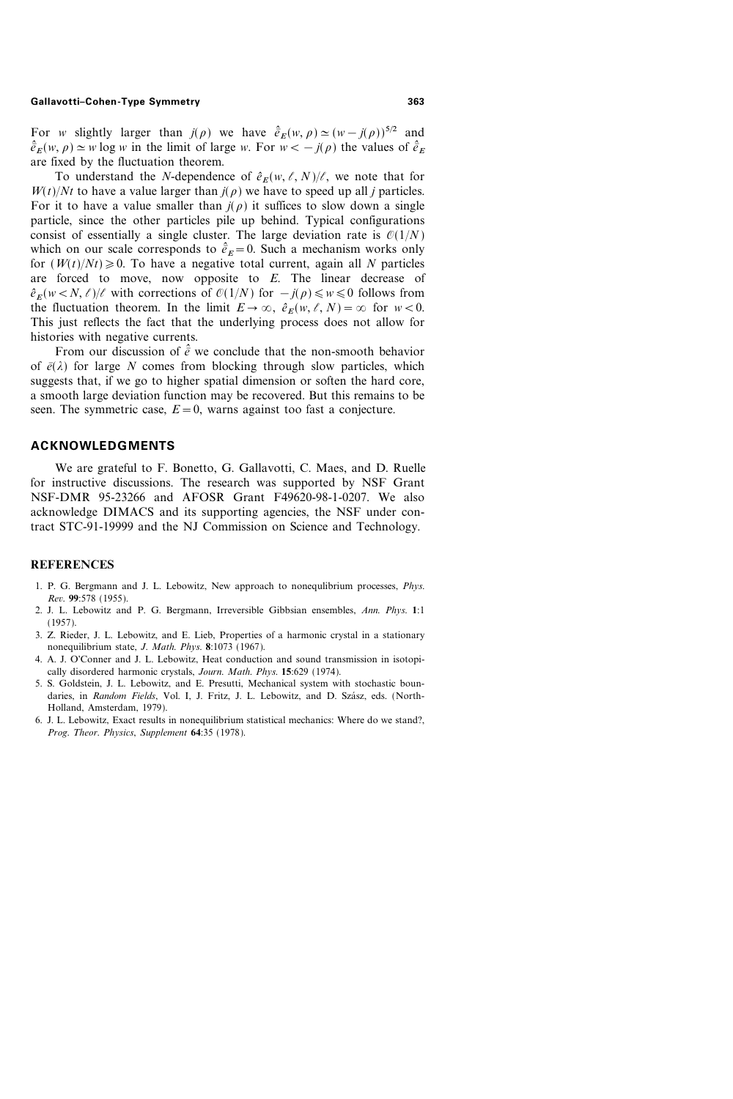For w slightly larger than  $j(\rho)$  we have  $\hat{e}_E(w, \rho) \simeq (w - j(\rho))^{5/2}$  and  $\hat{\vec{e}}_E(w, \rho) \simeq w \log w$  in the limit of large w. For  $w < -j(\rho)$  the values of  $\hat{\vec{e}}_E$ are fixed by the fluctuation theorem.

To understand the N-dependence of  $\hat{e}_E(w, \ell, N)/\ell$ , we note that for  $W(t)/Nt$  to have a value larger than  $j(\rho)$  we have to speed up all j particles. For it to have a value smaller than  $j(\rho)$  it suffices to slow down a single particle, since the other particles pile up behind. Typical configurations consist of essentially a single cluster. The large deviation rate is  $\mathcal{O}(1/N)$ which on our scale corresponds to  $\hat{\vec{e}}_E = 0$ . Such a mechanism works only for  $(W(t)/Nt) \ge 0$ . To have a negative total current, again all N particles are forced to move, now opposite to  $E$ . The linear decrease of  $\hat{e}_E(w \le N, \ell)/\ell$  with corrections of  $\mathcal{O}(1/N)$  for  $-j(\rho) \le w \le 0$  follows from the fluctuation theorem. In the limit  $E \to \infty$ ,  $\hat{e}_E(w, \ell, N) = \infty$  for  $w < 0$ . This just reflects the fact that the underlying process does not allow for histories with negative currents.

From our discussion of  $\hat{\vec{e}}$  we conclude that the non-smooth behavior of  $\bar{e}(\lambda)$  for large N comes from blocking through slow particles, which suggests that, if we go to higher spatial dimension or soften the hard core, a smooth large deviation function may be recovered. But this remains to be seen. The symmetric case,  $E=0$ , warns against too fast a conjecture.

### ACKNOWLEDGMENTS

We are grateful to F. Bonetto, G. Gallavotti, C. Maes, and D. Ruelle for instructive discussions. The research was supported by NSF Grant NSF-DMR 95-23266 and AFOSR Grant F49620-98-1-0207. We also acknowledge DIMACS and its supporting agencies, the NSF under contract STC-91-19999 and the NJ Commission on Science and Technology.

### REFERENCES

- 1. P. G. Bergmann and J. L. Lebowitz, New approach to nonequlibrium processes, Phys. Rev. 99:578 (1955).
- 2. J. L. Lebowitz and P. G. Bergmann, Irreversible Gibbsian ensembles, Ann. Phys. 1:1 (1957).
- 3. Z. Rieder, J. L. Lebowitz, and E. Lieb, Properties of a harmonic crystal in a stationary nonequilibrium state, J. Math. Phys. 8:1073 (1967).
- 4. A. J. O'Conner and J. L. Lebowitz, Heat conduction and sound transmission in isotopically disordered harmonic crystals, Journ. Math. Phys. 15:629 (1974).
- 5. S. Goldstein, J. L. Lebowitz, and E. Presutti, Mechanical system with stochastic boundaries, in Random Fields, Vol. I, J. Fritz, J. L. Lebowitz, and D. Szász, eds. (North-Holland, Amsterdam, 1979).
- 6. J. L. Lebowitz, Exact results in nonequilibrium statistical mechanics: Where do we stand?, Prog. Theor. Physics, Supplement 64:35 (1978).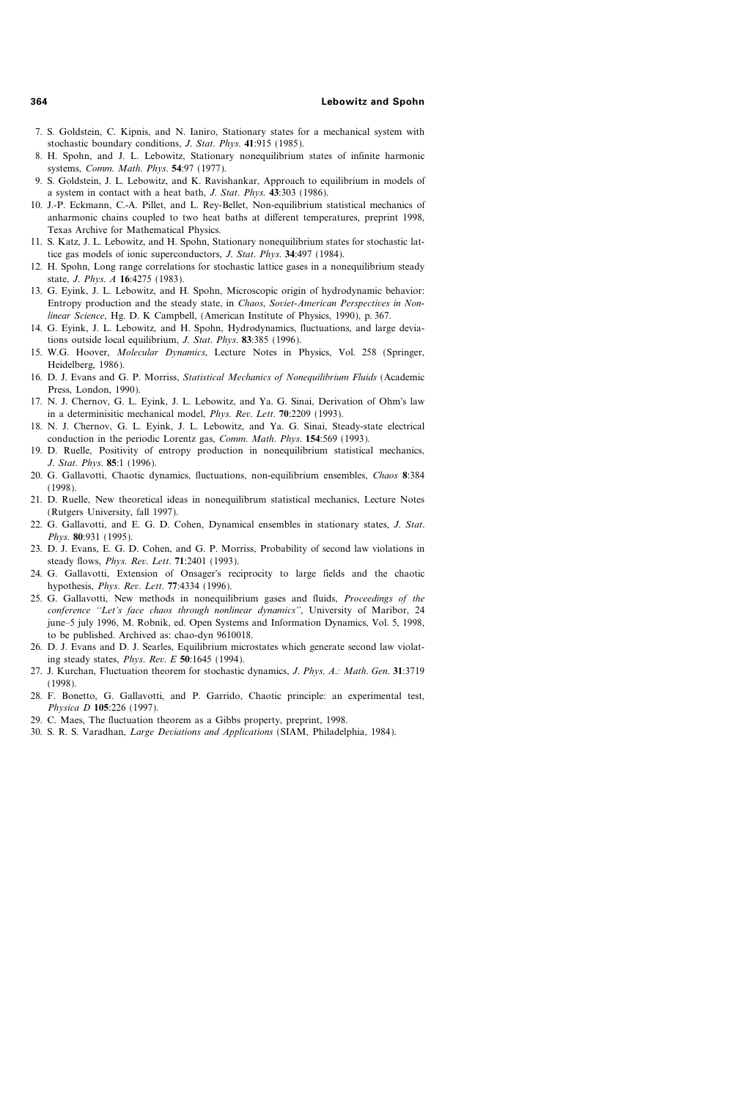- 7. S. Goldstein, C. Kipnis, and N. Ianiro, Stationary states for a mechanical system with stochastic boundary conditions, J. Stat. Phys. 41:915 (1985).
- 8. H. Spohn, and J. L. Lebowitz, Stationary nonequilibrium states of infinite harmonic systems, Comm. Math. Phys. 54:97 (1977).
- 9. S. Goldstein, J. L. Lebowitz, and K. Ravishankar, Approach to equilibrium in models of a system in contact with a heat bath, J. Stat. Phys. 43:303 (1986).
- 10. J.-P. Eckmann, C.-A. Pillet, and L. Rey-Bellet, Non-equilibrium statistical mechanics of anharmonic chains coupled to two heat baths at different temperatures, preprint 1998, Texas Archive for Mathematical Physics.
- 11. S. Katz, J. L. Lebowitz, and H. Spohn, Stationary nonequilibrium states for stochastic lattice gas models of ionic superconductors, J. Stat. Phys. 34:497 (1984).
- 12. H. Spohn, Long range correlations for stochastic lattice gases in a nonequilibrium steady state, J. Phys. A 16:4275 (1983).
- 13. G. Eyink, J. L. Lebowitz, and H. Spohn, Microscopic origin of hydrodynamic behavior: Entropy production and the steady state, in Chaos, Soviet-American Perspectives in Nonlinear Science, Hg. D. K Campbell, (American Institute of Physics, 1990), p. 367.
- 14. G. Eyink, J. L. Lebowitz, and H. Spohn, Hydrodynamics, fluctuations, and large deviations outside local equilibrium, J. Stat. Phys. 83:385 (1996).
- 15. W.G. Hoover, Molecular Dynamics, Lecture Notes in Physics, Vol. 258 (Springer, Heidelberg, 1986).
- 16. D. J. Evans and G. P. Morriss, Statistical Mechanics of Nonequilibrium Fluids (Academic Press, London, 1990).
- 17. N. J. Chernov, G. L. Eyink, J. L. Lebowitz, and Ya. G. Sinai, Derivation of Ohm's law in a determinisitic mechanical model, *Phys. Rev. Lett.* **70**:2209 (1993).
- 18. N. J. Chernov, G. L. Eyink, J. L. Lebowitz, and Ya. G. Sinai, Steady-state electrical conduction in the periodic Lorentz gas, Comm. Math. Phys. 154:569 (1993).
- 19. D. Ruelle, Positivity of entropy production in nonequilibrium statistical mechanics, J. Stat. Phys. 85:1 (1996).
- 20. G. Gallavotti, Chaotic dynamics, fluctuations, non-equilibrium ensembles, Chaos 8:384 (1998).
- 21. D. Ruelle, New theoretical ideas in nonequilibrum statistical mechanics, Lecture Notes (Rutgers University, fall 1997).
- 22. G. Gallavotti, and E. G. D. Cohen, Dynamical ensembles in stationary states, J. Stat. Phys. 80:931 (1995).
- 23. D. J. Evans, E. G. D. Cohen, and G. P. Morriss, Probability of second law violations in steady flows, Phys. Rev. Lett. 71:2401 (1993).
- 24. G. Gallavotti, Extension of Onsager's reciprocity to large fields and the chaotic hypothesis, Phys. Rev. Lett. 77:4334 (1996).
- 25. G. Gallavotti, New methods in nonequilibrium gases and fluids, Proceedings of the conference "Let's face chaos through nonlinear dynamics", University of Maribor, 24 june–5 july 1996, M. Robnik, ed. Open Systems and Information Dynamics, Vol. 5, 1998, to be published. Archived as: chao-dyn 9610018.
- 26. D. J. Evans and D. J. Searles, Equilibrium microstates which generate second law violating steady states, Phys. Rev. E 50:1645 (1994).
- 27. J. Kurchan, Fluctuation theorem for stochastic dynamics, J. Phys. A.: Math. Gen. 31:3719 (1998).
- 28. F. Bonetto, G. Gallavotti, and P. Garrido, Chaotic principle: an experimental test, Physica D 105:226 (1997).
- 29. C. Maes, The fluctuation theorem as a Gibbs property, preprint, 1998.
- 30. S. R. S. Varadhan, Large Deviations and Applications (SIAM, Philadelphia, 1984).